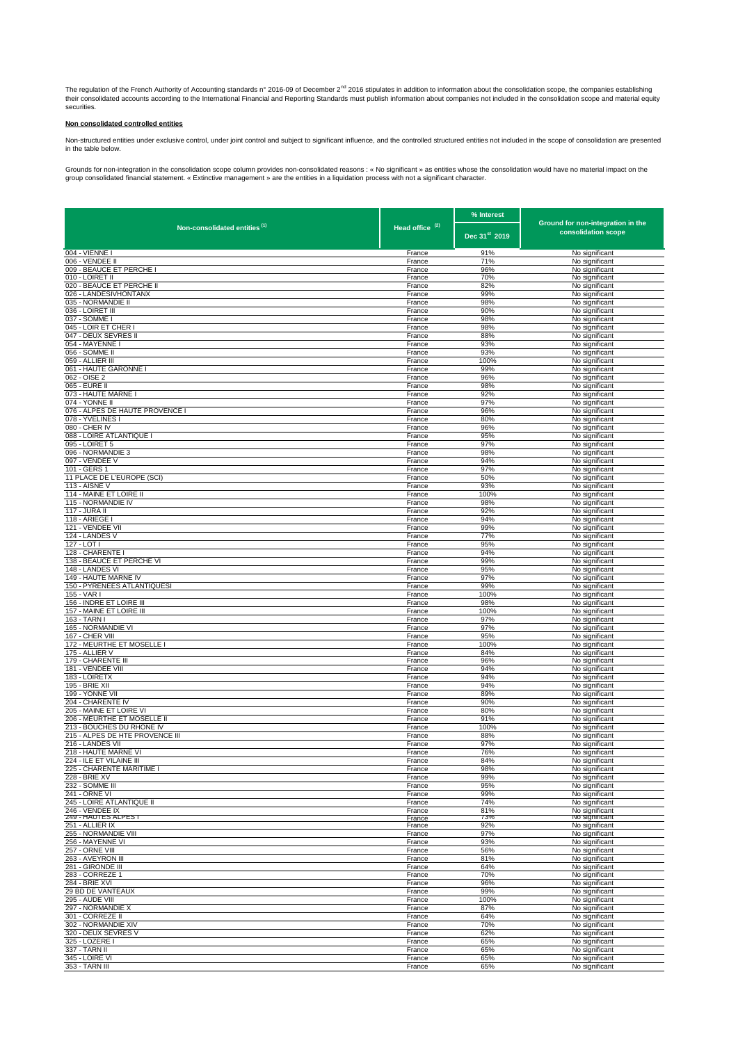The regulation of the French Authority of Accounting standards n° 2016-09 of December 2<sup>nd</sup> 2016 stipulates in addition to information about the consolidation scope, the companies establishing<br>their consolidated accounts a

## **Non consolidated controlled entities**

Non-structured entities under exclusive control, under joint control and subject to significant influence, and the controlled structured entities not included in the scope of consolidation are presented in the table below.

Grounds for non-integration in the consolidation scope column provides non-consolidated reasons : « No significant » as entities whose the consolidation would have no material impact on the<br>group consolidated financial sta

|                                                        |                            | % Interest                |                                                          |
|--------------------------------------------------------|----------------------------|---------------------------|----------------------------------------------------------|
| Non-consolidated entities <sup>(1)</sup>               | Head office <sup>(2)</sup> | Dec 31 <sup>st</sup> 2019 | Ground for non-integration in the<br>consolidation scope |
| 004 - VIENNE I                                         | France                     | 91%                       | No significant                                           |
| 006 - VENDEE II                                        | France                     | 71%                       | No significant                                           |
| 009 - BEAUCE ET PERCHE I                               | France                     | 96%                       | No significant                                           |
| 010 - LOIRET II<br>020 - BEAUCE ET PERCHE II           | France<br>France           | 70%<br>82%                | No significant<br>No significant                         |
| 026 - LANDESIVHONTANX                                  | France                     | 99%                       | No significant                                           |
| 035 - NORMANDIE II                                     | France                     | 98%                       | No significant                                           |
| 036 - LOIRET III                                       | France                     | 90%                       | No significant                                           |
| 037 - SOMME I<br>045 - LOIR ET CHER I                  | France<br>France           | 98%<br>98%                | No significant<br>No significant                         |
| 047 - DEUX SEVRES II                                   | France                     | 88%                       | No significant                                           |
| 054 - MAYENNE I                                        | France                     | 93%                       | No significant                                           |
| 056 - SOMME II                                         | France                     | 93%                       | No significant                                           |
| 059 - ALLIER III<br>061 - HAUTE GARONNE I              | France<br>France           | 100%<br>99%               | No significant<br>No significant                         |
| 062 - OISE 2                                           | France                     | 96%                       | No significant                                           |
| 065 - EURE II                                          | France                     | 98%                       | No significant                                           |
| 073 - HAUTE MARNE I                                    | France                     | 92%                       | No significant                                           |
| 074 - YONNE II<br>076 - ALPES DE HAUTE PROVENCE I      | France<br>France           | 97%<br>96%                | No significant<br>No significant                         |
| 078 - YVELINES I                                       | France                     | 80%                       | No significant                                           |
| 080 - CHER IV                                          | France                     | 96%                       | No significant                                           |
| 088 - LOIRE ATLANTIQUE I                               | France                     | 95%                       | No significant                                           |
| 095 - LOIRET 5<br>096 - NORMANDIE 3                    | France<br>France           | 97%<br>98%                | No significant<br>No significant                         |
| 097 - VENDEE V                                         | France                     | 94%                       | No significant                                           |
| 101 - GERS 1                                           | France                     | 97%                       | No significant                                           |
| 11 PLACE DE L'EUROPE (SCI)                             | France                     | 50%                       | No significant                                           |
| 113 - AISNE V                                          | France                     | 93%                       | No significant                                           |
| 114 - MAINE ET LOIRE II<br>115 - NORMANDIE IV          | France<br>France           | 100%<br>98%               | No significant<br>No significant                         |
| 117 - JURA II                                          | France                     | 92%                       | No significant                                           |
| 118 - ARIEGE                                           | France                     | 94%                       | No significant                                           |
| 121 - VENDEE VII                                       | France                     | 99%                       | No significant                                           |
| 124 - LANDES V<br>127 - LOT I                          | France<br>France           | 77%<br>95%                | No significant<br>No significant                         |
| 128 - CHARENTE I                                       | France                     | 94%                       | No significant                                           |
| 138 - BEAUCE ET PERCHE VI                              | France                     | 99%                       | No significant                                           |
| 148 - LANDES VI                                        | France                     | 95%                       | No significant                                           |
| 149 - HAUTE MARNE IV                                   | France                     | 97%                       | No significant                                           |
| 150 - PYRENEES ATLANTIQUESI<br>155 - VAR I             | France<br>France           | 99%<br>100%               | No significant<br>No significant                         |
| 156 - INDRE ET LOIRE III                               | France                     | 98%                       | No significant                                           |
| 157 - MAINE ET LOIRE III                               | France                     | 100%                      | No significant                                           |
| 163 - TARN I                                           | France                     | 97%                       | No significant                                           |
| 165 - NORMANDIE VI<br>167 - CHER VIII                  | France<br>France           | 97%<br>95%                | No significant<br>No significant                         |
| 172 - MEURTHE ET MOSELLE I                             | France                     | 100%                      | No significant                                           |
| 175 - ALLIER V                                         | France                     | 84%                       | No significant                                           |
| 179 - CHARENTE III                                     | France                     | 96%                       | No significant                                           |
| 181 - VENDEE VIII<br>183 - LOIRETX                     | France<br>France           | 94%<br>94%                | No significant<br>No significant                         |
| 195 - BRIE XII                                         | France                     | 94%                       | No significant                                           |
| 199 - YONNE VII                                        | France                     | 89%                       | No significant                                           |
| 204 - CHARENTE IV                                      | France                     | 90%                       | No significant                                           |
| 205 - MAINE ET LOIRE VI<br>206 - MEURTHE ET MOSELLE II | France                     | 80%                       | No significant                                           |
| 213 - BOUCHES DU RHONE IV                              | France<br>France           | 91%<br>100%               | No significant<br>No significant                         |
| 215 - ALPES DE HTE PROVENCE III                        | France                     | 88%                       | No significant                                           |
| 216 - LANDES VII                                       | France                     | 97%                       | No significant                                           |
| 218 - HAUTE MARNE VI                                   | France                     | 76%                       | No significant                                           |
| 224 - ILE ET VILAINE III<br>225 - CHARENTE MARITIME I  | France<br>France           | 84%<br>98%                | No significant<br>No significant                         |
| 228 - BRIE XV                                          | France                     | 99%                       | No significant                                           |
| 232 - SOMME III                                        | France                     | 95%                       | No significant                                           |
| 241 - ORNE VI                                          | France                     | 99%                       | No significant                                           |
| 245 - LOIRE ATLANTIQUE II<br>246 - VENDEE IX           | France<br>France           | 74%<br>81%                | No significant                                           |
| 249 - HAUTES ALPEST                                    | France                     | 73%                       | No significant<br>No significant                         |
| 251 - ALLIER IX                                        | France                     | 92%                       | No significant                                           |
| 255 - NORMANDIE VIII<br>256 - MAYENNE VI               | France<br>France           | 97%<br>93%                | No significant<br>No significant                         |
| 257 - ORNE VIII                                        | France                     | 56%                       | No significant                                           |
| 263 - AVEYRON III                                      | France                     | 81%                       | No significant                                           |
| 281 - GIRONDE III                                      | France                     | 64%                       | No significant                                           |
| 283 - CORREZE 1<br>284 - BRIE XVI                      | France<br>France           | 70%<br>96%                | No significant<br>No significant                         |
| 29 BD DE VANTEAUX                                      | France                     | 99%                       | No significant                                           |
| 295 - AUDE VIII                                        | France                     | 100%                      | No significant                                           |
| 297 - NORMANDIE X                                      | France                     | 87%                       | No significant                                           |
| 301 - CORREZE II                                       | France                     | 64%                       | No significant                                           |
| 302 - NORMANDIE XIV<br>320 - DEUX SEVRES V             | France<br>France           | 70%<br>62%                | No significant<br>No significant                         |
| 325 - LOZERE I                                         | France                     | 65%                       | No significant                                           |
| 337 - TARN II                                          | France                     | 65%                       | No significant                                           |
| 345 - LOIRE VI                                         | France                     | 65%                       | No significant                                           |
| 353 - TARN III                                         | France                     | 65%                       | No significant                                           |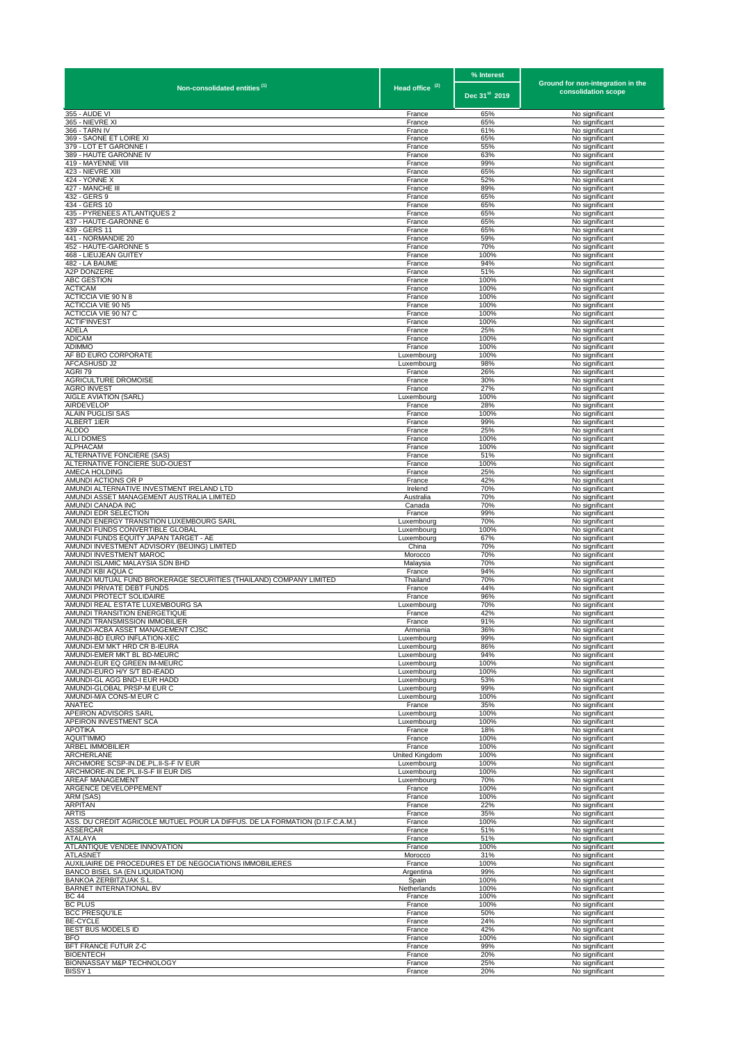|                                                                                                    |                            | % Interest                |                                                          |
|----------------------------------------------------------------------------------------------------|----------------------------|---------------------------|----------------------------------------------------------|
| Non-consolidated entities <sup>(1)</sup>                                                           | Head office <sup>(2)</sup> | Dec 31 <sup>st</sup> 2019 | Ground for non-integration in the<br>consolidation scope |
| 355 - AUDE VI                                                                                      | France                     | 65%                       | No significant                                           |
| 365 - NIEVRE XI<br>366 - TARN IV                                                                   | France<br>France           | 65%<br>61%                | No significant<br>No significant                         |
| 369 - SAONE ET LOIRE XI                                                                            | France                     | 65%                       | No significant                                           |
| 379 - LOT ET GARONNE I                                                                             | France                     | 55%                       | No significant                                           |
| 389 - HAUTE GARONNE IV<br>419 - MAYENNE VIII                                                       | France<br>France           | 63%<br>99%                | No significant<br>No significant                         |
| 423 - NIEVRE XIII                                                                                  | France                     | 65%                       | No significant                                           |
| 424 - YONNE X<br>427 - MANCHE III                                                                  | France<br>France           | 52%<br>89%                | No significant<br>No significant                         |
| 432 - GERS 9                                                                                       | France                     | 65%                       | No significant                                           |
| 434 - GERS 10                                                                                      | France                     | 65%                       | No significant                                           |
| 435 - PYRENEES ATLANTIQUES 2<br>437 - HAUTE-GARONNE 6                                              | France<br>France           | 65%<br>65%                | No significant<br>No significant                         |
| 439 - GERS 11                                                                                      | France                     | 65%                       | No significant                                           |
| 441 - NORMANDIE 20<br>452 - HAUTE-GARONNE 5                                                        | France                     | 59%<br>70%                | No significant<br>No significant                         |
| 468 - LIEUJEAN GUITEY                                                                              | France<br>France           | 100%                      | No significant                                           |
| 482 - LA BAUME                                                                                     | France                     | 94%                       | No significant                                           |
| A2P DONZERE<br>ABC GESTION                                                                         | France<br>France           | 51%<br>100%               | No significant<br>No significant                         |
| <b>ACTICAM</b>                                                                                     | France                     | 100%                      | No significant                                           |
| ACTICCIA VIE 90 N 8<br>ACTICCIA VIE 90 N5                                                          | France<br>France           | 100%<br>100%              | No significant<br>No significant                         |
| ACTICCIA VIE 90 N7 C                                                                               | France                     | 100%                      | No significant                                           |
| <b>ACTIF'INVEST</b>                                                                                | France                     | 100%                      | No significant                                           |
| ADELA<br><b>ADICAM</b>                                                                             | France<br>France           | 25%<br>100%               | No significant<br>No significant                         |
| ADIMMO                                                                                             | France                     | 100%                      | No significant                                           |
| AF BD EURO CORPORATE                                                                               | Luxembourg                 | 100%                      | No significant                                           |
| AFCASHUSD J2<br>AGRI 79                                                                            | Luxembourg<br>France       | 98%<br>26%                | No significant<br>No significant                         |
| AGRICULTURE DROMOISE                                                                               | France                     | 30%                       | No significant                                           |
| <b>AGRO INVEST</b><br>AIGLE AVIATION (SARL)                                                        | France<br>Luxembourg       | 27%<br>100%               | No significant<br>No significant                         |
| AIRDEVELOP                                                                                         | France                     | 28%                       | No significant                                           |
| ALAIN PUGLISI SAS                                                                                  | France                     | 100%                      | No significant                                           |
| ALBERT 1IER<br><b>ALDDO</b>                                                                        | France<br>France           | 99%<br>25%                | No significant<br>No significant                         |
| <b>ALLI DOMES</b>                                                                                  | France                     | 100%                      | No significant                                           |
| ALPHACAM<br>ALTERNATIVE FONCIÈRE (SAS)                                                             | France<br>France           | 100%<br>51%               | No significant<br>No significant                         |
| ALTERNATIVE FONCIERE SUD-OUEST                                                                     | France                     | 100%                      | No significant                                           |
| AMECA HOLDING                                                                                      | France                     | 25%                       | No significant                                           |
| AMUNDI ACTIONS OR P<br>AMUNDI ALTERNATIVE INVESTMENT IRELAND LTD                                   | France<br>Irelend          | 42%<br>70%                | No significant<br>No significant                         |
| AMUNDI ASSET MANAGEMENT AUSTRALIA LIMITED                                                          | Australia                  | 70%                       | No significant                                           |
| AMUNDI CANADA INC<br>AMUNDI EDR SELECTION                                                          | Canada                     | 70%                       | No significant                                           |
| AMUNDI ENERGY TRANSITION LUXEMBOURG SARL                                                           | France<br>Luxembourg       | 99%<br>70%                | No significant<br>No significant                         |
| AMUNDI FUNDS CONVERTIBLE GLOBAL                                                                    | Luxembourg                 | 100%                      | No significant                                           |
| AMUNDI FUNDS EQUITY JAPAN TARGET - AE<br>AMUNDI INVESTMENT ADVISORY (BEIJING) LIMITED              | Luxembourg<br>China        | 67%<br>70%                | No significant<br>No significant                         |
| AMUNDI INVESTMENT MAROC                                                                            | Morocco                    | 70%                       | No significant                                           |
| AMUNDI ISLAMIC MALAYSIA SDN BHD<br>AMUNDI KBI AQUA C                                               | Malaysia<br>France         | 70%<br>94%                | No significant                                           |
| AMUNDI MUTUAL FUND BROKERAGE SECURITIES (THAILAND) COMPANY LIMITED                                 | Thailand                   | 70%                       | No significant<br>No significant                         |
| AMUNDI PRIVATE DEBT FUNDS                                                                          | France                     | 44%                       | No significant                                           |
| AMUNDI PROTECT SOLIDAIRE<br>AMUNDI REAL ESTATE LUXEMBOURG SA                                       | France<br>Luxembourg       | 96%<br>70%                | No significant<br>No significant                         |
| AMUNDI TRANSITION ENERGETIQUE                                                                      | France                     | 42%                       | No significant                                           |
| AMUNDI TRANSMISSION IMMORILIER<br>AMUNDI-ACBA ASSET MANAGEMENT CJSC                                | Erance                     | 91%<br>36%                | No significant<br>No significant                         |
| AMUNDI-BD EURO INFLATION-XEC                                                                       | Armenia<br>Luxembourg      | 99%                       | No significant                                           |
| AMUNDI-EM MKT HRD CR B-IEURA                                                                       | Luxembourg                 | 86%                       | No significant                                           |
| AMUNDI-EMER MKT BL BD-MEURC<br>AMUNDI-EUR EQ GREEN IM-MEURC                                        | Luxembourg<br>Luxembourg   | 94%<br>100%               | No significant<br>No significant                         |
| AMUNDI-EURO H/Y S/T BD-IEADD                                                                       | Luxembourg                 | 100%                      | No significant                                           |
| AMUNDI-GL AGG BND-I EUR HADD                                                                       | Luxembourg                 | 53%                       | No significant                                           |
| AMUNDI-GLOBAL PRSP-M EUR C<br>AMUNDI-M/A CONS-M EUR C                                              | Luxembourg<br>Luxembourg   | 99%<br>100%               | No significant<br>No significant                         |
| ANATEC                                                                                             | France                     | 35%                       | No significant                                           |
| APEIRON ADVISORS SARL<br>APEIRON INVESTMENT SCA                                                    | Luxembourg<br>Luxembourg   | 100%<br>100%              | No significant<br>No significant                         |
| <b>APOTIKA</b>                                                                                     | France                     | 18%                       | No significant                                           |
| <b>AQUIT'IMMO</b>                                                                                  | France                     | 100%                      | No significant                                           |
| <b>ARBEL IMMOBILIER</b><br>ARCHERLANE                                                              | France<br>United Kingdom   | 100%<br>100%              | No significant<br>No significant                         |
| ARCHMORE SCSP-IN.DE.PL.II-S-F IV EUR                                                               | Luxembourg                 | 100%                      | No significant                                           |
| ARCHMORE-IN.DE.PL.II-S-F III EUR DIS<br><b>AREAF MANAGEMENT</b>                                    | Luxembourg                 | 100%<br>70%               | No significant                                           |
| ARGENCE DEVELOPPEMENT                                                                              | Luxembourg<br>France       | 100%                      | No significant<br>No significant                         |
| ARM (SAS)                                                                                          | France                     | 100%                      | No significant                                           |
| <b>ARPITAN</b><br><b>ARTIS</b>                                                                     | France<br>France           | 22%<br>35%                | No significant<br>No significant                         |
| ASS. DU CRÉDIT AGRICOLE MUTUEL POUR LA DIFFUS. DE LA FORMATION (D.I.F.C.A.M.)                      | France                     | 100%                      | No significant                                           |
| ASSERCAR                                                                                           | France                     | 51%                       | No significant                                           |
| ATALAYA<br>ATLANTIQUE VENDEE INNOVATION                                                            | France<br>France           | 51%<br>100%               | No significant<br>No significant                         |
| <b>ATLASNET</b>                                                                                    | Morocco                    | 31%                       | No significant                                           |
| AUXILIAIRE DE PROCEDURES ET DE NEGOCIATIONS IMMOBILIERES<br><b>BANCO BISEL SA (EN LIQUIDATION)</b> | France<br>Argentina        | 100%<br>99%               | No significant<br>No significant                         |
| BANKOA ZERBITZUAK S.L.                                                                             | Spain                      | 100%                      | No significant                                           |
| BARNET INTERNATIONAL BV                                                                            | Netherlands                | 100%                      | No significant                                           |
| <b>BC 44</b><br><b>BC PLUS</b>                                                                     | France<br>France           | 100%<br>100%              | No significant<br>No significant                         |
| <b>BCC PRESQU'ILE</b>                                                                              | France                     | 50%                       | No significant                                           |
| <b>BE-CYCLE</b>                                                                                    | France                     | 24%                       | No significant                                           |
| BEST BUS MODELS ID<br><b>BFO</b>                                                                   | France<br>France           | 42%<br>100%               | No significant<br>No significant                         |
| BFT FRANCE FUTUR Z-C                                                                               | France                     | 99%                       | No significant                                           |
| <b>BIOENTECH</b><br>BIONNASSAY M&P TECHNOLOGY                                                      | France<br>France           | 20%<br>25%                | No significant<br>No significant                         |
| BISSY <sub>1</sub>                                                                                 | France                     | 20%                       | No significant                                           |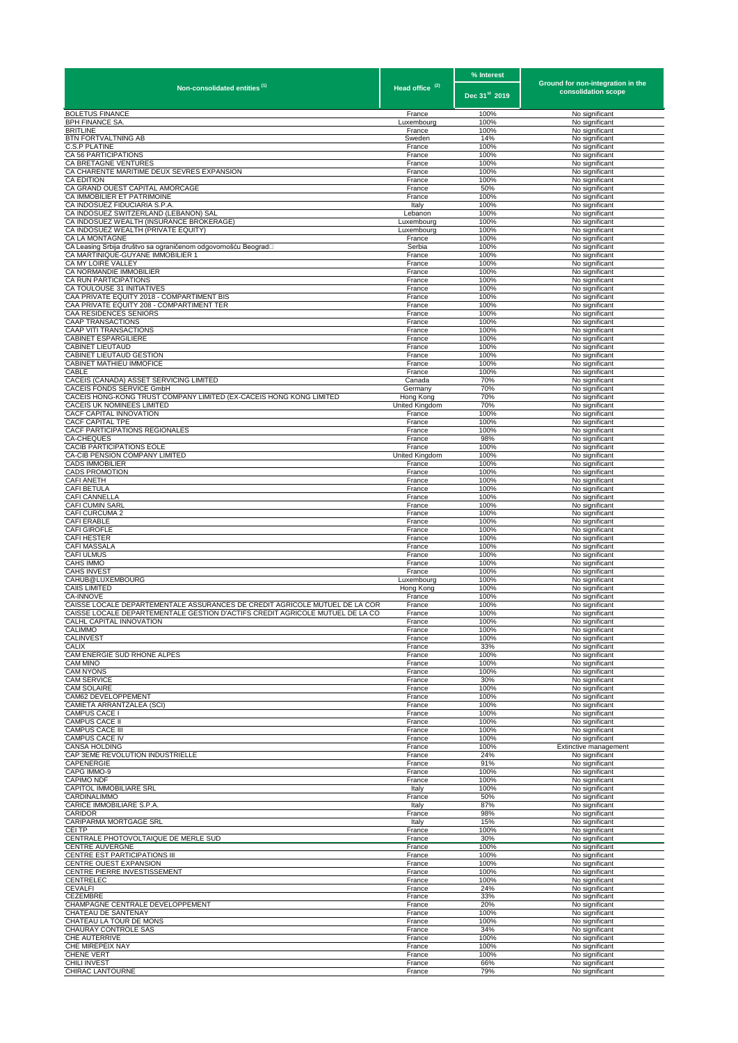|                                                                                                           |                            | % Interest                | Ground for non-integration in the       |
|-----------------------------------------------------------------------------------------------------------|----------------------------|---------------------------|-----------------------------------------|
| Non-consolidated entities <sup>(1)</sup>                                                                  | Head office <sup>(2)</sup> | Dec 31 <sup>st</sup> 2019 | consolidation scope                     |
| <b>BOLETUS FINANCE</b>                                                                                    | France                     | 100%                      | No significant                          |
| <b>BPH FINANCE SA.</b><br><b>BRITLINE</b>                                                                 | Luxembourg<br>France       | 100%<br>100%              | No significant<br>No significant        |
| BTN FORTVALTNING AB                                                                                       | Sweden                     | 14%                       | No significant                          |
| <b>C.S.P PLATINE</b><br>CA 56 PARTICIPATIONS                                                              | France<br>France           | 100%<br>100%              | No significant<br>No significant        |
| CA BRETAGNE VENTURES                                                                                      | France                     | 100%                      | No significant                          |
| CA CHARENTE MARITIME DEUX SEVRES EXPANSION<br>CA EDITION                                                  | France<br>France           | 100%<br>100%              | No significant<br>No significant        |
| CA GRAND OUEST CAPITAL AMORCAGE                                                                           | France                     | 50%                       | No significant                          |
| CA IMMOBILIER ET PATRIMOINE<br>CA INDOSUEZ FIDUCIARIA S.P.A                                               | France<br>Italy            | 100%<br>100%              | No significant<br>No significant        |
| CA INDOSUEZ SWITZERLAND (LEBANON) SAL                                                                     | Lebanon                    | 100%                      | No significant                          |
| CA INDOSUEZ WEALTH (INSURANCE BROKERAGE)<br>CA INDOSUEZ WEALTH (PRIVATE EQUITY)                           | Luxembourg<br>Luxembourg   | 100%<br>100%              | No significant<br>No significant        |
| CA LA MONTAGNE                                                                                            | France                     | 100%                      | No significant                          |
| CA Leasing Srbija društvo sa ograničenom odgovornošću Beograd□<br>CA MARTINIQUE-GUYANE IMMOBILIER 1       | Serbia<br>France           | 100%<br>100%              | No significant<br>No significant        |
| CA MY LOIRE VALLEY                                                                                        | France                     | 100%                      | No significant                          |
| CA NORMANDIE IMMOBILIER<br>CA RUN PARTICIPATIONS                                                          | France<br>France           | 100%<br>100%              | No significant<br>No significant        |
| CA TOULOUSE 31 INITIATIVES                                                                                | France                     | 100%                      | No significant                          |
| CAA PRIVATE EQUITY 2018 - COMPARTIMENT BIS<br>CAA PRIVATE EQUITY 208 - COMPARTIMENT TER                   | France<br>France           | 100%<br>100%              | No significant<br>No significant        |
| CAA RESIDENCES SENIORS                                                                                    | France                     | 100%                      | No significant                          |
| <b>CAAP TRANSACTIONS</b><br><b>CAAP VITI TRANSACTIONS</b>                                                 | France<br>France           | 100%<br>100%              | No significant                          |
| <b>CABINET ESPARGILIERE</b>                                                                               | France                     | 100%                      | No significant<br>No significant        |
| <b>CABINET LIEUTAUD</b>                                                                                   | France                     | 100%                      | No significant                          |
| CABINET LIEUTAUD GESTION<br>CABINET MATHIEU IMMOFICE                                                      | France<br>France           | 100%<br>100%              | No significant<br>No significant        |
| CABLE                                                                                                     | France                     | 100%                      | No significant                          |
| CACEIS (CANADA) ASSET SERVICING LIMITED<br>CACEIS FONDS SERVICE GmbH                                      | Canada<br>Germany          | 70%<br>70%                | No significant<br>No significant        |
| CACEIS HONG-KONG TRUST COMPANY LIMITED (EX-CACEIS HONG KONG LIMITED                                       | Hong Kong                  | 70%                       | No significant                          |
| CACEIS UK NOMINEES LIMITED<br>CACF CAPITAL INNOVATION                                                     | United Kingdom<br>France   | 70%<br>100%               | No significant<br>No significant        |
| <b>CACF CAPITAL TPE</b>                                                                                   | France                     | 100%                      | No significant                          |
| CACF PARTICIPATIONS REGIONALES<br>CA-CHEQUES                                                              | France<br>France           | 100%<br>98%               | No significant<br>No significant        |
| CACIB PARTICIPATIONS EOLE                                                                                 | France                     | 100%                      | No significant                          |
| CA-CIB PENSION COMPANY LIMITED<br><b>CADS IMMOBILIER</b>                                                  | United Kingdom             | 100%<br>100%              | No significant                          |
| <b>CADS PROMOTION</b>                                                                                     | France<br>France           | 100%                      | No significant<br>No significant        |
| <b>CAFI ANETH</b>                                                                                         | France                     | 100%                      | No significant                          |
| <b>CAFI BETULA</b><br>CAFI CANNELLA                                                                       | France<br>France           | 100%<br>100%              | No significant<br>No significant        |
| CAFI CUMIN SARL                                                                                           | France                     | 100%                      | No significant                          |
| CAFI CURCUMA 2<br>CAFI ERABLE                                                                             | France<br>France           | 100%<br>100%              | No significant<br>No significant        |
| <b>CAFI GIROFLE</b>                                                                                       | France                     | 100%                      | No significant                          |
| <b>CAFI HESTER</b><br><b>CAFI MASSALA</b>                                                                 | France<br>France           | 100%<br>100%              | No significant<br>No significant        |
| <b>CAFI ULMUS</b>                                                                                         | France                     | 100%                      | No significant                          |
| CAHS IMMO<br><b>CAHS INVEST</b>                                                                           | France<br>France           | 100%<br>100%              | No significant<br>No significant        |
| CAHUB@LUXEMBOURG                                                                                          | Luxembourg                 | 100%                      | No significant                          |
| <b>CAIIS LIMITED</b><br>CA-INNOVE                                                                         | Hong Kong<br>France        | 100%<br>100%              | No significant<br>No significant        |
| CAISSE LOCALE DEPARTEMENTALE ASSURANCES DE CREDIT AGRICOLE MUTUEL DE LA COR                               | France                     | 100%                      | No significant                          |
| CAISSE LOCALE DEPARTEMENTALE GESTION D'ACTIFS CREDIT AGRICOLE MUTUEL DE LA CO<br>CALHL CAPITAL INNOVATION | France<br>France           | 100%<br>100%              | No significant<br>No significant        |
| CALIMMO                                                                                                   | France                     | 100%                      | No significant                          |
| <b>CALINVEST</b><br><b>CALIX</b>                                                                          | France<br>France           | 100%<br>33%               | No significant<br>No significant        |
| CAM ENERGIE SUD RHONE ALPES                                                                               | France                     | 100%                      | No significant                          |
| <b>CAM MINO</b><br><b>CAM NYONS</b>                                                                       | France<br>France           | 100%<br>100%              | No significant<br>No significant        |
| <b>CAM SERVICE</b>                                                                                        | France                     | 30%                       | No significant                          |
| <b>CAM SOLAIRE</b><br>CAM62 DEVELOPPEMENT                                                                 | France<br>France           | 100%<br>100%              | No significant<br>No significant        |
| CAMIETA ARRANTZALEA (SCI)                                                                                 | France                     | 100%                      | No significant                          |
| CAMPUS CACE I<br><b>CAMPUS CACE II</b>                                                                    | France<br>France           | 100%<br>100%              | No significant<br>No significant        |
| <b>CAMPUS CACE III</b>                                                                                    | France                     | 100%                      | No significant                          |
| <b>CAMPUS CACE IV</b><br><b>CANSA HOLDING</b>                                                             | France<br>France           | 100%<br>100%              | No significant<br>Extinctive management |
| CAP 3EME REVOLUTION INDUSTRIELLE                                                                          | France                     | 24%                       | No significant                          |
| CAPENERGIE<br>CAPG IMMO-9                                                                                 | France<br>France           | 91%<br>100%               | No significant<br>No significant        |
| <b>CAPIMO NDF</b>                                                                                         | France                     | 100%                      | No significant                          |
| CAPITOL IMMOBILIARE SRL<br>CARDINALIMMO                                                                   | Italy<br>France            | 100%<br>50%               | No significant<br>No significant        |
| CARICE IMMOBILIARE S.P.A                                                                                  | Italy                      | 87%                       | No significant                          |
| CARIDOR<br>CARIPARMA MORTGAGE SRL                                                                         | France<br>Italy            | 98%<br>15%                | No significant<br>No significant        |
| CEI TP                                                                                                    | France                     | 100%                      | No significant                          |
| CENTRALE PHOTOVOLTAIQUE DE MERLE SUD<br><b>CENTRE AUVERGNE</b>                                            | France<br>France           | 30%<br>100%               | No significant<br>No significant        |
| CENTRE EST PARTICIPATIONS III                                                                             | France                     | 100%                      | No significant                          |
| CENTRE OUEST EXPANSION<br>CENTRE PIERRE INVESTISSEMENT                                                    | France<br>France           | 100%<br>100%              | No significant<br>No significant        |
| CENTRELEC                                                                                                 | France                     | 100%                      | No significant                          |
| <b>CEVALFI</b><br>CEZEMBRE                                                                                | France                     | 24%                       | No significant                          |
| CHAMPAGNE CENTRALE DEVELOPPEMENT                                                                          | France<br>France           | 33%<br>20%                | No significant<br>No significant        |
| CHATEAU DE SANTENAY                                                                                       | France                     | 100%                      | No significant                          |
| CHATEAU LA TOUR DE MONS<br>CHAURAY CONTROLE SAS                                                           | France<br>France           | 100%<br>34%               | No significant<br>No significant        |
| CHE AUTERRIVE                                                                                             | France                     | 100%                      | No significant                          |
| CHE MIREPEIX NAY<br>CHENE VERT                                                                            | France<br>France           | 100%<br>100%              | No significant<br>No significant        |
| CHILI INVEST<br>CHIRAC LANTOURNE                                                                          | France<br>France           | 66%<br>79%                | No significant<br>No significant        |
|                                                                                                           |                            |                           |                                         |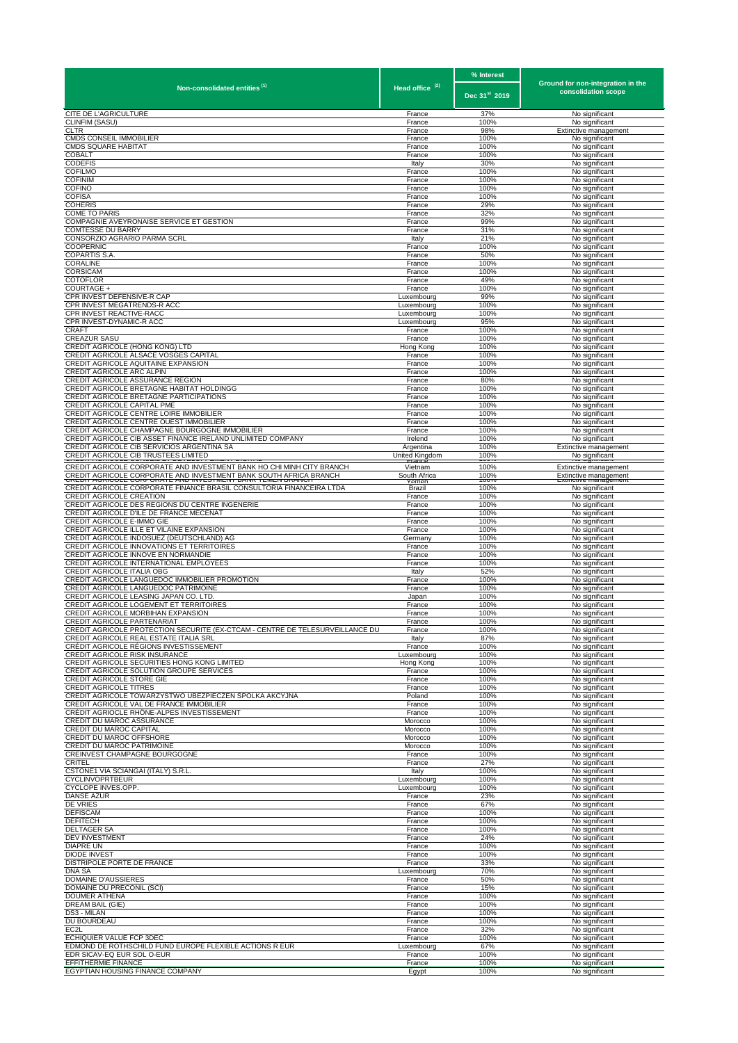|                                                                                                                         |                            | % Interest                | Ground for non-integration in the       |
|-------------------------------------------------------------------------------------------------------------------------|----------------------------|---------------------------|-----------------------------------------|
| Non-consolidated entities <sup>(1)</sup>                                                                                | Head office <sup>(2)</sup> | Dec 31 <sup>st</sup> 2019 | consolidation scope                     |
| CITE DE L'AGRICULTURE                                                                                                   | France                     | 37%                       | No significant                          |
| CLINFIM (SASU)<br>CLTR                                                                                                  | France<br>France           | 100%<br>98%               | No significant<br>Extinctive management |
| <b>CMDS CONSEIL IMMOBILIER</b><br><b>CMDS SQUARE HABITAT</b>                                                            | France<br>France           | 100%<br>100%              | No significant<br>No significant        |
| COBALT                                                                                                                  | France                     | 100%                      | No significant                          |
| <b>CODEFIS</b><br><b>COFILMO</b>                                                                                        | Italy<br>France            | 30%<br>100%               | No significant<br>No significant        |
| <b>COFINIM</b>                                                                                                          | France                     | 100%                      | No significant                          |
| <b>COFINO</b><br><b>COFISA</b>                                                                                          | France<br>France           | 100%<br>100%              | No significant<br>No significant        |
| <b>COHERIS</b>                                                                                                          | France                     | 29%                       | No significant                          |
| <b>COME TO PARIS</b><br>COMPAGNIE AVEYRONAISE SERVICE ET GESTION                                                        | France<br>France           | 32%<br>99%                | No significant<br>No significant        |
| <b>COMTESSE DU BARRY</b>                                                                                                | France                     | 31%                       | No significant                          |
| CONSORZIO AGRARIO PARMA SCRL<br>COOPERNIC                                                                               | Italy<br>France            | 21%<br>100%               | No significant<br>No significant        |
| COPARTIS S.A.                                                                                                           | France                     | 50%                       | No significant                          |
| CORALINE<br>CORSICAM                                                                                                    | France<br>France           | 100%<br>100%              | No significant<br>No significant        |
| COTOFLOR                                                                                                                | France                     | 49%                       | No significant                          |
| COURTAGE +<br>CPR INVEST DEFENSIVE-R CAP                                                                                | France<br>Luxembourg       | 100%<br>99%               | No significant<br>No significant        |
| CPR INVEST MEGATRENDS-R ACC                                                                                             | Luxembourg                 | 100%                      | No significant                          |
| CPR INVEST REACTIVE-RACC<br>CPR INVEST-DYNAMIC-R ACC                                                                    | Luxembourd<br>Luxembourg   | 100%<br>95%               | No significant<br>No significant        |
| CRAFT                                                                                                                   | France                     | 100%                      | No significant                          |
| <b>CREAZUR SASU</b><br>CREDIT AGRICOLE (HONG KONG) LTD                                                                  | France<br>Hong Kong        | 100%<br>100%              | No significant<br>No significant        |
| CREDIT AGRICOLE ALSACE VOSGES CAPITAL                                                                                   | France                     | 100%                      | No significant                          |
| CREDIT AGRICOLE AQUITAINE EXPANSION<br>CREDIT AGRICOLE ARC ALPIN                                                        | France<br>France           | 100%<br>100%              | No significant<br>No significant        |
| CREDIT AGRICOLE ASSURANCE REGION                                                                                        | France                     | 80%                       | No significant                          |
| CREDIT AGRICOLE BRETAGNE HABITAT HOLDINGG<br>CREDIT AGRICOLE BRETAGNE PARTICIPATIONS                                    | France<br>France           | 100%<br>100%              | No significant<br>No significant        |
| CREDIT AGRICOLE CAPITAL PME                                                                                             | France                     | 100%                      | No significant                          |
| CREDIT AGRICOLE CENTRE LOIRE IMMOBILIER<br>CREDIT AGRICOLE CENTRE OUEST IMMOBILIER                                      | France<br>France           | 100%<br>100%              | No significant<br>No significant        |
| CREDIT AGRICOLE CHAMPAGNE BOURGOGNE IMMOBILIER                                                                          | France                     | 100%                      | No significant                          |
| CREDIT AGRICOLE CIB ASSET FINANCE IRELAND UNLIMITED COMPANY<br>CREDIT AGRICOLE CIB SERVICIOS ARGENTINA SA               | Irelend<br>Argentina       | 100%<br>100%              | No significant<br>Extinctive management |
| CREDIT AGRICOLE CIB TRUSTEES LIMITED                                                                                    | United Kingdom             | 100%                      | No significant                          |
| CREDIT AGRICOLE CORPORATE AND INVESTMENT BANK HO CHI MINH CITY BRANCH                                                   | Vietnam<br>South Africa    | 100%<br>100%              | Extinctive management                   |
| CREDIT AGRICOLE CORPORATE AND INVESTMENT BANK SOUTH AFRICA BRANCH                                                       | emer                       | 1007                      | Extinctive management                   |
| CREDIT AGRICOLE CORPORATE FINANCE BRASIL CONSULTORIA FINANCEIRA LTDA<br>CREDIT AGRICOLE CREATION                        | Brazil<br>France           | 100%<br>100%              | No significant<br>No significant        |
| CREDIT AGRICOLE DES REGIONS DU CENTRE INGENERIE<br>CREDIT AGRICOLE D'ILE DE FRANCE MECENAT                              | France<br>France           | 100%<br>100%              | No significant<br>No significant        |
| CREDIT AGRICOLE E-IMMO GIE                                                                                              | France                     | 100%                      | No significant                          |
| CREDIT AGRICOLE ILLE ET VILAINE EXPANSION<br>CREDIT AGRICOLE INDOSUEZ (DEUTSCHLAND) AG                                  | France<br>Germany          | 100%<br>100%              | No significant<br>No significant        |
| CREDIT AGRICOLE INNOVATIONS ET TERRITOIRES                                                                              | France                     | 100%                      | No significant                          |
| CREDIT AGRICOLE INNOVE EN NORMANDIE<br>CREDIT AGRICOLE INTERNATIONAL EMPLOYEES                                          | France<br>France           | 100%<br>100%              | No significant<br>No significant        |
| CREDIT AGRICOLE ITALIA OBG                                                                                              | Italy                      | 52%                       | No significant                          |
| CREDIT AGRICOLE LANGUEDOC IMMOBILIER PROMOTION<br>CREDIT AGRICOLE LANGUEDOC PATRIMOINE                                  | France<br>France           | 100%<br>100%              | No significant<br>No significant        |
| CREDIT AGRICOLE LEASING JAPAN CO. LTD.                                                                                  | Japan                      | 100%                      | No significant                          |
| CREDIT AGRICOLE LOGEMENT ET TERRITOIRES<br>CREDIT AGRICOLE MORBIHAN EXPANSION                                           | France<br>France           | 100%<br>100%              | No significant<br>No significant        |
| CREDIT AGRICOLE PARTENARIAT                                                                                             | France                     | 100%                      | No significant                          |
| CREDIT AGRICOLE PROTECTION SECURITE (EX-CTCAM - CENTRE DE TELESURVEILLANCE DU<br>CREDIT AGRICOLE REAL ESTATE ITALIA SRL | France<br>Italy            | 100%<br>87%               | No significant<br>No significant        |
| CRÉDIT AGRICOLE RÉGIONS INVESTISSEMENT                                                                                  | France                     | 100%                      | No significant                          |
| CREDIT AGRICOLE RISK INSURANCE<br>CREDIT AGRICOLE SECURITIES HONG KONG LIMITED                                          | Luxembourg<br>Hong Kong    | 100%<br>100%              | No significant<br>No significant        |
| CREDIT AGRICOLE SOLUTION GROUPE SERVICES                                                                                | France                     | 100%                      | No significant                          |
| CREDIT AGRICOLE STORE GIE<br><b>CREDIT AGRICOLE TITRES</b>                                                              | France<br>France           | 100%<br>100%              | No significant<br>No significant        |
| CREDIT AGRICOLE TOWARZYSTWO UBEZPIECZEN SPOLKA AKCYJNA                                                                  | Poland                     | 100%                      | No significant                          |
| CREDIT AGRICOLE VAL DE FRANCE IMMOBILIER<br>CRÉDIT AGRIOCLE RHÔNE-ALPES INVESTISSEMENT                                  | France<br>France           | 100%<br>100%              | No significant<br>No significant        |
| CREDIT DU MAROC ASSURANCE                                                                                               | Morocco                    | 100%                      | No significant                          |
| CREDIT DU MAROC CAPITAL<br>CREDIT DU MAROC OFFSHORE                                                                     | Morocco<br>Morocco         | 100%<br>100%              | No significant<br>No significant        |
| CREDIT DU MAROC PATRIMOINE                                                                                              | Morocco                    | 100%                      | No significant                          |
| CREINVEST CHAMPAGNE BOURGOGNE<br>CRITEL                                                                                 | France<br>France           | 100%<br>27%               | No significant<br>No significant        |
| CSTONE1 VIA SCIANGAI (ITALY) S.R.L                                                                                      | Italy                      | 100%                      | No significant                          |
| <b>CYCLINVOPRTBEUR</b><br>CYCLOPE INVES.OPP.                                                                            | Luxembourg<br>Luxembourg   | 100%<br>100%              | No significant<br>No significant        |
| <b>DANSE AZUR</b><br><b>DE VRIES</b>                                                                                    | France                     | 23%<br>67%                | No significant                          |
| <b>DEFISCAM</b>                                                                                                         | France<br>France           | 100%                      | No significant<br>No significant        |
| <b>DEFITECH</b><br><b>DELTAGER SA</b>                                                                                   | France                     | 100%                      | No significant                          |
| DEV INVESTMENT                                                                                                          | France<br>France           | 100%<br>24%               | No significant<br>No significant        |
| <b>DIAPRE UN</b><br><b>DIODE INVEST</b>                                                                                 | France                     | 100%                      | No significant                          |
| DISTRIPOLE PORTE DE FRANCE                                                                                              | France<br>France           | 100%<br>33%               | No significant<br>No significant        |
| <b>DNA SA</b><br>DOMAINE D'AUSSIERES                                                                                    | Luxembourg<br>France       | 70%<br>50%                | No significant<br>No significant        |
| DOMAINE DU PRECONIL (SCI)                                                                                               | France                     | 15%                       | No significant                          |
| <b>DOUMER ATHENA</b><br>DREAM BAIL (GIE)                                                                                | France<br>France           | 100%<br>100%              | No significant<br>No significant        |
| DS3 - MILAN                                                                                                             | France                     | 100%                      | No significant                          |
| DU BOURDEAU<br>EC <sub>2</sub> L                                                                                        | France<br>France           | 100%<br>32%               | No significant<br>No significant        |
| ECHIQUIER VALUE FCP 3DEC                                                                                                | France                     | 100%                      | No significant                          |
| EDMOND DE ROTHSCHILD FUND EUROPE FLEXIBLE ACTIONS R EUR<br>EDR SICAV-EQ EUR SOL O-EUR                                   | Luxembourg<br>France       | 67%<br>100%               | No significant<br>No significant        |
| EFFITHERMIE FINANCE                                                                                                     | France                     | 100%                      | No significant                          |
| EGYPTIAN HOUSING FINANCE COMPANY                                                                                        | Eqypt                      | 100%                      | No significant                          |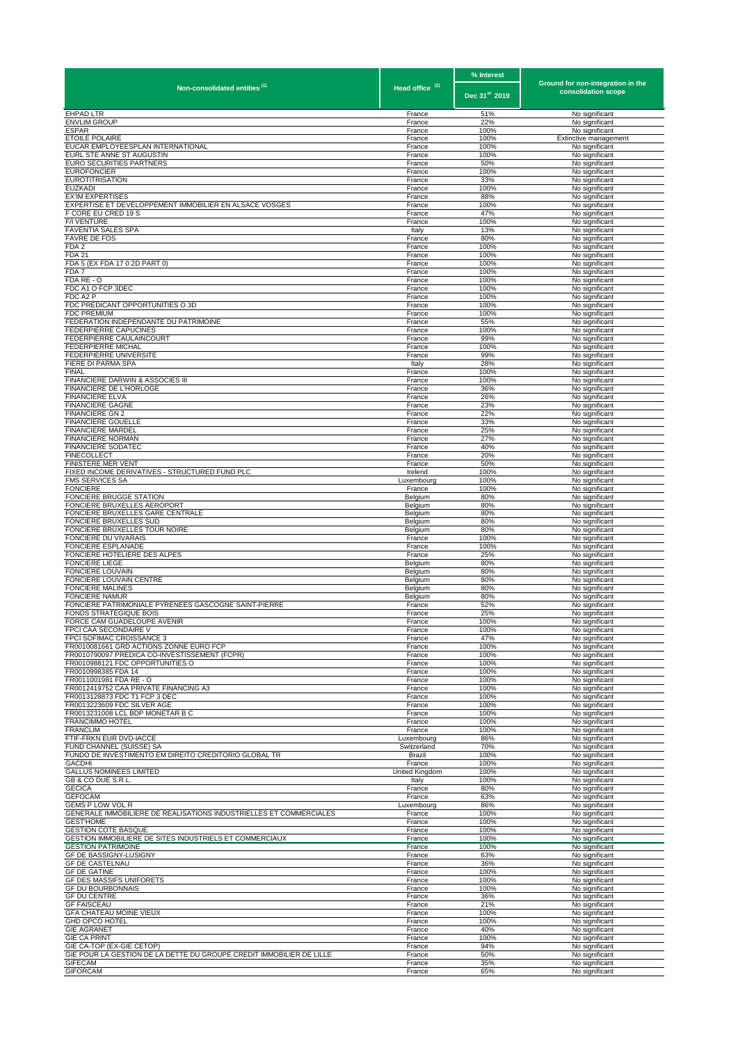|                                                                                          |                            | % Interest                | Ground for non-integration in the |
|------------------------------------------------------------------------------------------|----------------------------|---------------------------|-----------------------------------|
| Non-consolidated entities (1)                                                            | Head office <sup>(2)</sup> | Dec 31 <sup>st</sup> 2019 | consolidation scope               |
| <b>EHPAD LTR</b>                                                                         | France                     | 51%                       | No significant                    |
| <b>ENVLIM GROUP</b><br><b>ESPAR</b>                                                      | France<br>France           | 22%<br>100%               | No significant<br>No significant  |
| <b>ETOILE POLAIRE</b>                                                                    | France                     | 100%                      | Extinctive management             |
| EUCAR EMPLOYEESPLAN INTERNATIONAL                                                        | France                     | 100%                      | No significant                    |
| EURL STE ANNE ST AUGUSTIN<br>EURO SECURITIES PARTNERS                                    | France<br>France           | 100%<br>50%               | No significant<br>No significant  |
| <b>EUROFONCIER</b>                                                                       | France                     | 100%                      | No significant                    |
| <b>EUROTITRISATION</b><br><b>EUZKADI</b>                                                 | France<br>France           | 33%<br>100%               | No significant<br>No significant  |
| <b>EX'IM EXPERTISES</b>                                                                  | France                     | 88%                       | No significant                    |
| EXPERTISE ET DEVELOPPEMENT IMMOBILIER EN ALSACE VOSGES                                   | France                     | 100%                      | No significant                    |
| F CORE EU CRED 19 S<br>F/I VENTURE                                                       | France<br>France           | 47%<br>100%               | No significant<br>No significant  |
| <b>FAVENTIA SALES SPA</b>                                                                | Italy                      | 13%                       | No significant                    |
| <b>FAVRE DE FOS</b><br>FDA <sub>2</sub>                                                  | France<br>France           | 80%<br>100%               | No significant<br>No significant  |
| <b>FDA 21</b>                                                                            | France                     | 100%                      | No significant                    |
| FDA 5 (EX FDA 17 0 2D PART 0)                                                            | France                     | 100%                      | No significant                    |
| FDA 7<br>FDA RE - O                                                                      | France<br>France           | 100%<br>100%              | No significant<br>No significant  |
| FDC A1 O FCP 3DEC                                                                        | France                     | 100%                      | No significant                    |
| FDC A2 P                                                                                 | France                     | 100%                      | No significant                    |
| FDC PREDICANT OPPORTUNITIES O 3D<br><b>FDC PREMIUM</b>                                   | France<br>France           | 100%<br>100%              | No significant<br>No significant  |
| FEDERATION INDEPENDANTE DU PATRIMOINE                                                    | France                     | 55%                       | No significant                    |
| <b>FEDERPIERRE CAPUCINES</b><br>FEDERPIERRE CAULAINCOURT                                 | France<br>France           | 100%<br>99%               | No significant<br>No significant  |
| <b>FEDERPIERRE MICHAL</b>                                                                | France                     | 100%                      | No significant                    |
| FEDERPIERRE UNIVERSITE                                                                   | France                     | 99%                       | No significant                    |
| FIERE DI PARMA SPA<br>FINAL                                                              | Italy<br>France            | 28%<br>100%               | No significant<br>No significant  |
| FINANCIERE DARWIN & ASSOCIES III                                                         | France                     | 100%                      | No significant                    |
| FINANCIERE DE L'HORLOGE<br><b>FINANCIERE ELVA</b>                                        | France<br>France           | 36%<br>26%                | No significant                    |
| <b>FINANCIERE GAGNE</b>                                                                  | France                     | 23%                       | No significant<br>No significant  |
| <b>FINANCIERE GN 2</b>                                                                   | France                     | 22%                       | No significant                    |
| <b>FINANCIERE GOUELLE</b>                                                                | France                     | 33%                       | No significant                    |
| <b>FINANCIERE MARDEL</b><br><b>FINANCIERE NORMAN</b>                                     | France<br>France           | 25%<br>27%                | No significant<br>No significant  |
| <b>FINANCIERE SODATEC</b>                                                                | France                     | 40%                       | No significant                    |
| <b>FINECOLLECT</b>                                                                       | France                     | 20%                       | No significant                    |
| FINISTERE MER VENT<br>FIXED INCOME DERIVATIVES - STRUCTURED FUND PLC                     | France<br>Irelend          | 50%<br>100%               | No significant<br>No significant  |
| FMS SERVICES SA                                                                          | Luxembourg                 | 100%                      | No significant                    |
| <b>FONCIERE</b><br>FONCIERE BRUGGE STATION                                               | France<br>Belgium          | 100%<br>80%               | No significant<br>No significant  |
| FONCIERE BRUXELLES AEROPORT                                                              | Belgium                    | 80%                       | No significant                    |
| FONCIERE BRUXELLES GARE CENTRALE                                                         | Belgium                    | 80%                       | No significant                    |
| FONCIERE BRUXELLES SUD<br>FONCIERE BRUXELLES TOUR NOIRE                                  | Belgium<br>Belgium         | 80%<br>80%                | No significant<br>No significant  |
| FONCIERE DU VIVARAIS                                                                     | France                     | 100%                      | No significant                    |
| FONCIERE ESPLANADE                                                                       | France                     | 100%                      | No significant                    |
| FONCIERE HOTELIERE DES ALPES<br><b>FONCIERE LIEGE</b>                                    | France<br>Belgium          | 25%<br>80%                | No significant<br>No significant  |
| FONCIERE LOUVAIN                                                                         | Belgium                    | 80%                       | No significant                    |
| FONCIERE LOUVAIN CENTRE<br><b>FONCIERE MALINES</b>                                       | Belgium<br>Belgium         | 80%<br>80%                | No significant<br>No significant  |
| <b>FONCIERE NAMUR</b>                                                                    | Belgium                    | 80%                       | No significant                    |
| FONCIERE PATRIMONIALE PYRENEES GASCOGNE SAINT-PIERRE                                     | France                     | 52%                       | No significant                    |
| FONDS STRATEGIQUE BOIS<br>FORCE CAM GUADELOUPE AVENIR                                    | France<br>France           | 25%<br>100%               | No significant<br>No significant  |
| FPCI CAA SECONDAIRE V                                                                    | France                     | 100%                      | No significant                    |
| FPCI SOFIMAC CROISSANCE 3                                                                | France                     | 47%                       | No significant                    |
| FR0010081661 GRD ACTIONS ZONNE EURO FCP<br>FR0010790097 PREDICA CO-INVESTISSEMENT (FCPR) | France<br>France           | 100%<br>100%              | No significant<br>No significant  |
| FR0010988121 FDC OPPORTUNITIES O                                                         | France                     | 100%                      | No significant                    |
| FR0010998385 FDA 14<br>FR0011001981 FDA RE - O                                           | France                     | 100%                      | No significant                    |
| FR0012419752 CAA PRIVATE FINANCING A3                                                    | France<br>France           | 100%<br>100%              | No significant<br>No significant  |
| FR0013128873 FDC T1 FCP 3 DEC                                                            | France                     | 100%                      | No significant                    |
| FR0013223609 FDC SILVER AGE<br>FR0013231008 LCL BDP MONETAR B C                          | France                     | 100%<br>100%              | No significant                    |
| <b>FRANCIMMO HOTEL</b>                                                                   | France<br>France           | 100%                      | No significant<br>No significant  |
| <b>FRANCLIM</b>                                                                          | France                     | 100%                      | No significant                    |
| FTIF-FRKN EUR DVD-IACCE<br>FUND CHANNEL (SUISSE) SA                                      | Luxembourg<br>Switzerland  | 86%<br>70%                | No significant<br>No significant  |
| FUNDO DE INVESTIMENTO EM DIREITO CREDITORIO GLOBAL TR                                    | Brazil                     | 100%                      | No significant                    |
| <b>GACDHI</b>                                                                            | France                     | 100%                      | No significant                    |
| <b>GALLUS NOMINEES LIMITED</b><br>GB & CO DUE S.R.L                                      | United Kingdom<br>Italy    | 100%<br>100%              | No significant<br>No significant  |
| <b>GECICA</b>                                                                            | France                     | 80%                       | No significant                    |
| <b>GEFOCAM</b>                                                                           | France                     | 63%                       | No significant                    |
| GEMS P LOW VOL R<br>GENERALE IMMOBILIERE DE REALISATIONS INDUSTRIELLES ET COMMERCIALES   | Luxembourg<br>France       | 86%<br>100%               | No significant<br>No significant  |
| <b>GEST'HOME</b>                                                                         | France                     | 100%                      | No significant                    |
| <b>GESTION COTE BASQUE</b>                                                               | France                     | 100%                      | No significant                    |
| GESTION IMMOBILIERE DE SITES INDUSTRIELS ET COMMERCIAUX<br><b>GESTION PATRIMOINE</b>     | France<br>France           | 100%<br>100%              | No significant<br>No significant  |
| GF DE BASSIGNY-LUSIGNY                                                                   | France                     | 63%                       | No significant                    |
| <b>GF DE CASTELNAU</b><br><b>GF DE GATINE</b>                                            | France<br>France           | 36%<br>100%               | No significant<br>No significant  |
| GF DES MASSIFS UNIFORETS                                                                 | France                     | 100%                      | No significant                    |
| <b>GF DU BOURBONNAIS</b>                                                                 | France                     | 100%                      | No significant                    |
| <b>GF DU CENTRE</b><br><b>GF FAISCEAU</b>                                                | France                     | 36%<br>21%                | No significant                    |
| GFA CHATEAU MOINE VIEUX                                                                  | France<br>France           | 100%                      | No significant<br>No significant  |
| <b>GHD OPCO HOTEL</b>                                                                    | France                     | 100%                      | No significant                    |
| <b>GIE AGRANET</b><br><b>GIE CA PRINT</b>                                                | France<br>France           | 40%<br>100%               | No significant                    |
| GIE CA-TOP (EX-GIE CETOP)                                                                | France                     | 94%                       | No significant<br>No significant  |
| GIE POUR LA GESTION DE LA DETTE DU GROUPE CREDIT IMMOBILIER DE LILLE                     | France                     | 50%                       | No significant                    |
| <b>GIFECAM</b><br><b>GIFORCAM</b>                                                        | France<br>France           | 35%<br>65%                | No significant<br>No significant  |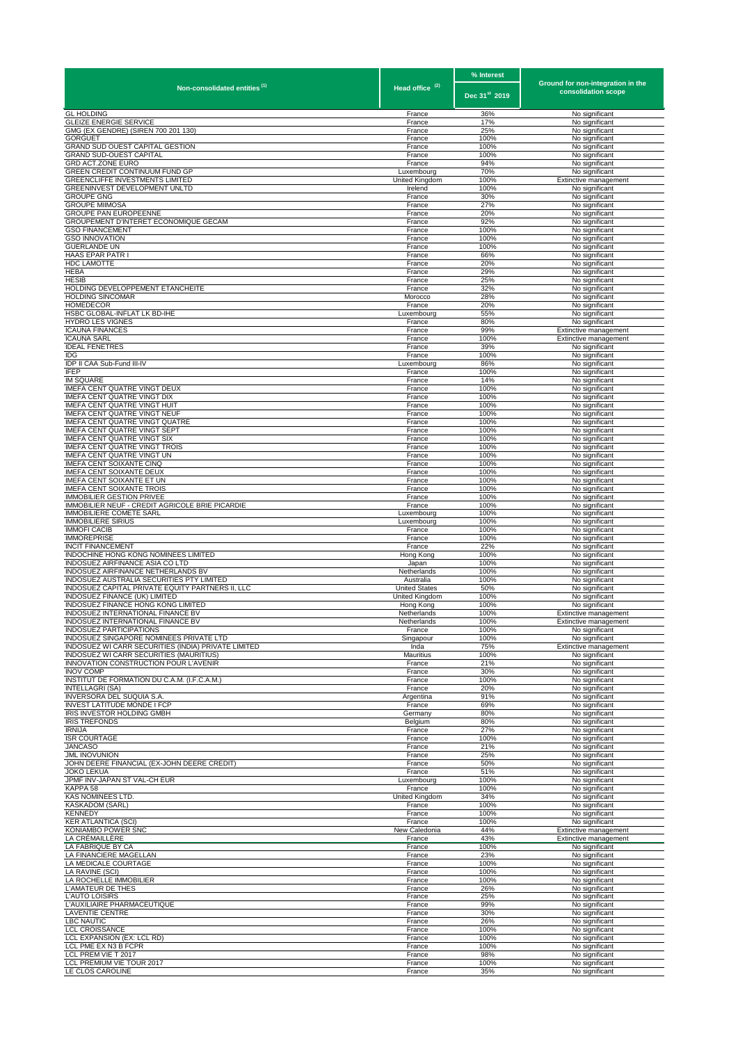| Non-consolidated entities <sup>(1)</sup>                                          | Head office <sup>(2)</sup>             | % Interest    | Ground for non-integration in the       |  |
|-----------------------------------------------------------------------------------|----------------------------------------|---------------|-----------------------------------------|--|
|                                                                                   |                                        | Dec 31st 2019 | consolidation scope                     |  |
| <b>GL HOLDING</b>                                                                 | France                                 | 36%           | No significant                          |  |
| <b>GLEIZE ENERGIE SERVICE</b>                                                     | France                                 | 17%           | No significant                          |  |
| GMG (EX GENDRE) (SIREN 700 201 130)<br><b>GORGUET</b>                             | France<br>France                       | 25%<br>100%   | No significant<br>No significant        |  |
| GRAND SUD OUEST CAPITAL GESTION                                                   | France                                 | 100%          | No significant                          |  |
| <b>GRAND SUD-OUEST CAPITAL</b>                                                    | France                                 | 100%          | No significant                          |  |
| GRD ACT.ZONE EURO<br>GREEN CREDIT CONTINUUM FUND GP                               | France<br>Luxembourg                   | 94%<br>70%    | No significant<br>No significant        |  |
| GREENCLIFFE INVESTMENTS LIMITED                                                   | United Kingdom                         | 100%          | Extinctive management                   |  |
| GREENINVEST DEVELOPMENT UNLTD                                                     | Irelend                                | 100%          | No significant                          |  |
| <b>GROUPE GNG</b>                                                                 | France                                 | 30%           | No significant                          |  |
| <b>GROUPE MIIMOSA</b><br><b>GROUPE PAN EUROPEENNE</b>                             | France<br>France                       | 27%<br>20%    | No significant<br>No significant        |  |
| GROUPEMENT D'INTERET ECONOMIQUE GECAM                                             | France                                 | 92%           | No significant                          |  |
| <b>GSO FINANCEMENT</b>                                                            | France                                 | 100%          | No significant                          |  |
| <b>GSO INNOVATION</b>                                                             | France                                 | 100%          | No significant                          |  |
| <b>GUERLANDE UN</b><br>HAAS EPAR PATR I                                           | France<br>France                       | 100%<br>66%   | No significant<br>No significant        |  |
| HDC LAMOTTE                                                                       | France                                 | 20%           | No significant                          |  |
| HEBA                                                                              | France                                 | 29%           | No significant                          |  |
| <b>HESIB</b><br>HOLDING DEVELOPPEMENT ETANCHEITE                                  | France<br>France                       | 25%<br>32%    | No significant<br>No significant        |  |
| HOLDING SINCOMAR                                                                  | Morocco                                | 28%           | No significant                          |  |
| HOMEDECOR                                                                         | France                                 | 20%           | No significant                          |  |
| HSBC GLOBAL-INFLAT LK BD-IHE                                                      | Luxembourg                             | 55%           | No significant                          |  |
| <b>HYDRO LES VIGNES</b><br><b>ICAUNA FINANCES</b>                                 | France<br>France                       | 80%<br>99%    | No significant<br>Extinctive management |  |
| <b>ICAUNA SARL</b>                                                                | France                                 | 100%          | Extinctive management                   |  |
| <b>IDEAL FENETRES</b>                                                             | France                                 | 39%           | No significant                          |  |
| IDG<br>IDP II CAA Sub-Fund III-IV                                                 | France                                 | 100%          | No significant<br>No significant        |  |
| IFEP                                                                              | Luxembourg<br>France                   | 86%<br>100%   | No significant                          |  |
| <b>IM SQUARE</b>                                                                  | France                                 | 14%           | No significant                          |  |
| IMEFA CENT QUATRE VINGT DEUX                                                      | France                                 | 100%          | No significant                          |  |
| IMEFA CENT QUATRE VINGT DIX<br>IMEFA CENT QUATRE VINGT HUIT                       | France                                 | 100%<br>100%  | No significant                          |  |
| IMEFA CENT QUATRE VINGT NEUF                                                      | France<br>France                       | 100%          | No significant<br>No significant        |  |
| IMEFA CENT QUATRE VINGT QUATRE                                                    | France                                 | 100%          | No significant                          |  |
| IMEFA CENT QUATRE VINGT SEPT                                                      | France                                 | 100%          | No significant                          |  |
| IMEFA CENT QUATRE VINGT SIX<br>IMEFA CENT QUATRE VINGT TROIS                      | France                                 | 100%<br>100%  | No significant                          |  |
| IMEFA CENT QUATRE VINGT UN                                                        | France<br>France                       | 100%          | No significant<br>No significant        |  |
| IMEFA CENT SOIXANTE CINQ                                                          | France                                 | 100%          | No significant                          |  |
| IMEFA CENT SOIXANTE DEUX                                                          | France                                 | 100%          | No significant                          |  |
| IMEFA CENT SOIXANTE ET UN<br>IMEFA CENT SOIXANTE TROIS                            | France<br>France                       | 100%<br>100%  | No significant<br>No significant        |  |
| <b>IMMOBILIER GESTION PRIVEE</b>                                                  | France                                 | 100%          | No significant                          |  |
| IMMOBILIER NEUF - CREDIT AGRICOLE BRIE PICARDIE                                   | France                                 | 100%          | No significant                          |  |
| <b>IMMOBILIERE COMETE SARL</b>                                                    | Luxembourg                             | 100%          | No significant                          |  |
| <b>IMMOBILIERE SIRIUS</b><br><b>IMMOFI CACIB</b>                                  | Luxembourg<br>France                   | 100%<br>100%  | No significant<br>No significant        |  |
| <b>IMMOREPRISE</b>                                                                | France                                 | 100%          | No significant                          |  |
| <b>INCIT FINANCEMENT</b>                                                          | France                                 | 22%           | No significant                          |  |
| INDOCHINE HONG KONG NOMINEES LIMITED<br>INDOSUEZ AIRFINANCE ASIA CO LTD           | Hong Kong<br>Japan                     | 100%<br>100%  | No significant<br>No significant        |  |
| INDOSUEZ AIRFINANCE NETHERLANDS BV                                                | Netherlands                            | 100%          | No significant                          |  |
| INDOSUEZ AUSTRALIA SECURITIES PTY LIMITED                                         | Australia                              | 100%          | No significant                          |  |
| INDOSUEZ CAPITAL PRIVATE EQUITY PARTNERS II, LLC<br>INDOSUEZ FINANCE (UK) LIMITED | <b>United States</b><br>United Kingdom | 50%<br>100%   | No significant<br>No significant        |  |
| INDOSUEZ FINANCE HONG KONG LIMITED                                                | Hong Kong                              | 100%          | No significant                          |  |
| INDOSUEZ INTERNATIONAL FINANCE BV                                                 | Netherlands                            | 100%          | Extinctive management                   |  |
| INDOSUEZ INTERNATIONAL FINANCE BV                                                 | Netherlands                            | 100%          | Extinctive management                   |  |
| INDOSUEZ PARTICIPATIONS<br>INDOSUEZ SINGAPORE NOMINEES PRIVATE LTD                | France<br>Singapour                    | 100%<br>100%  | No significant<br>No significant        |  |
| INDOSUEZ WI CARR SECURITIES (INDIA) PRIVATE LIMITED                               | Inda                                   | 75%           | Extinctive management                   |  |
| <b>INDOSUEZ WI CARR SECURITIES (MAURITIUS)</b>                                    | Mauritius                              | 100%          | No significant                          |  |
| INNOVATION CONSTRUCTION POUR L'AVENIR<br><b>INOV COMP</b>                         | France<br>France                       | 21%<br>30%    | No significant<br>No significant        |  |
| INSTITUT DE FORMATION DU C.A.M. (I.F.C.A.M.)                                      | France                                 | 100%          | No significant                          |  |
| INTELLAGRI (SA)                                                                   | France                                 | 20%           | No significant                          |  |
| INVERSORA DEL SUQUIA S.A.                                                         | Argentina                              | 91%           | No significant                          |  |
| <b>INVEST LATITUDE MONDE I FCP</b><br>IRIS INVESTOR HOLDING GMBH                  | France<br>Germany                      | 69%<br>80%    | No significant<br>No significant        |  |
| <b>IRIS TREFONDS</b>                                                              | Belgium                                | 80%           | No significant                          |  |
| <b>IRNIJA</b>                                                                     | France                                 | 27%           | No significant                          |  |
| <b>ISR COURTAGE</b><br>JANCASO                                                    | France<br>France                       | 100%<br>21%   | No significant                          |  |
| <b>JML INOVUNION</b>                                                              | France                                 | 25%           | No significant<br>No significant        |  |
| JOHN DEERE FINANCIAL (EX-JOHN DEERE CREDIT                                        | France                                 | 50%           | No significant                          |  |
| JOKO LEKUA                                                                        | France                                 | 51%           | No significant                          |  |
| JPMF INV-JAPAN ST VAL-CH EUR<br>KAPPA 58                                          | Luxembourg<br>France                   | 100%<br>100%  | No significant<br>No significant        |  |
| KAS NOMINEES LTD.                                                                 | United Kingdom                         | 34%           | No significant                          |  |
| KASKADOM (SARL)                                                                   | France                                 | 100%          | No significant                          |  |
| KENNEDY                                                                           | France                                 | 100%          | No significant                          |  |
| <b>KER ATLANTICA (SCI)</b><br>KONIAMBO POWER SNC                                  | France<br>New Caledonia                | 100%<br>44%   | No significant<br>Extinctive management |  |
| LA CRÉMAILLÈRE                                                                    | France                                 | 43%           | Extinctive management                   |  |
| LA FABRIQUE BY CA                                                                 | France                                 | 100%          | No significant                          |  |
| LA FINANCIERE MAGELLAN<br>LA MEDICALE COURTAGE                                    | France<br>France                       | 23%<br>100%   | No significant<br>No significant        |  |
| LA RAVINE (SCI)                                                                   | France                                 | 100%          | No significant                          |  |
| LA ROCHELLE IMMOBILIER                                                            | France                                 | 100%          | No significant                          |  |
| L'AMATEUR DE THES                                                                 | France                                 | 26%           | No significant                          |  |
| L'AUTO LOISIRS<br>L'AUXILIAIRE PHARMACEUTIQUE                                     | France<br>France                       | 25%<br>99%    | No significant<br>No significant        |  |
| LAVENTIE CENTRE                                                                   | France                                 | 30%           | No significant                          |  |
| <b>LBC NAUTIC</b>                                                                 | France                                 | 26%           | No significant                          |  |
| <b>LCL CROISSANCE</b><br>LCL EXPANSION (EX: LCL RD)                               | France                                 | 100%<br>100%  | No significant                          |  |
| LCL PME EX N3 B FCPR                                                              | France<br>France                       | 100%          | No significant<br>No significant        |  |
| LCL PREM VIE T 2017                                                               | France                                 | 98%           | No significant                          |  |
| LCL PREMIUM VIE TOUR 2017                                                         | France                                 | 100%          | No significant                          |  |
| LE CLOS CAROLINE                                                                  | France                                 | 35%           | No significant                          |  |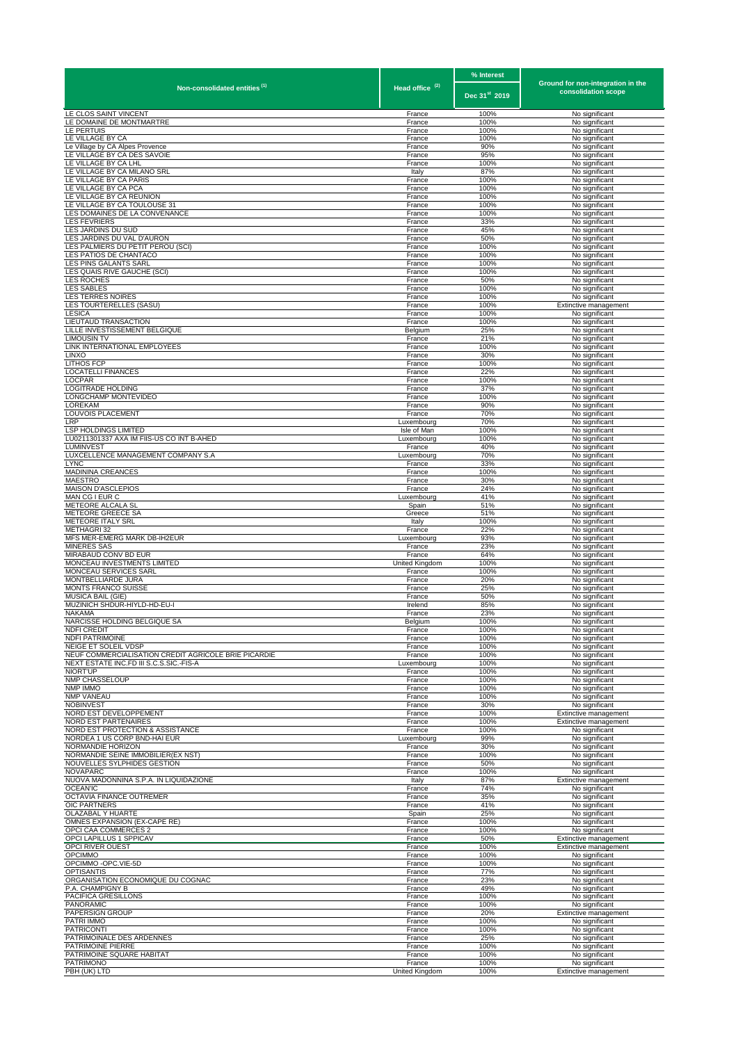|                                                                          |                                 | % Interest    | Ground for non-integration in the       |
|--------------------------------------------------------------------------|---------------------------------|---------------|-----------------------------------------|
| Non-consolidated entities <sup>(1)</sup>                                 | Head office <sup>(2)</sup>      | Dec 31st 2019 | consolidation scope                     |
| LE CLOS SAINT VINCENT                                                    | France                          | 100%          | No significant                          |
| LE DOMAINE DE MONTMARTRE                                                 | France                          | 100%          | No significant                          |
| LE PERTUIS<br>LE VILLAGE BY CA                                           | France<br>France                | 100%<br>100%  | No significant<br>No significant        |
| Le Village by CA Alpes Provence                                          | France                          | 90%           | No significant                          |
| LE VILLAGE BY CA DES SAVOIE<br>LE VILLAGE BY CA LHL                      | France<br>France                | 95%<br>100%   | No significant<br>No significant        |
| LE VILLAGE BY CA MILANO SRL                                              | Italy                           | 87%           | No significant                          |
| LE VILLAGE BY CA PARIS                                                   | France                          | 100%          | No significant                          |
| LE VILLAGE BY CA PCA<br>LE VILLAGE BY CA REUNION                         | France<br>France                | 100%<br>100%  | No significant<br>No significant        |
| LE VILLAGE BY CA TOULOUSE 31                                             | France                          | 100%          | No significant                          |
| LES DOMAINES DE LA CONVENANCE<br><b>LES FEVRIERS</b>                     | France<br>France                | 100%<br>33%   | No significant<br>No significant        |
| LES JARDINS DU SUD                                                       | France                          | 45%           | No significant                          |
| LES JARDINS DU VAL D'AURON                                               | France                          | 50%           | No significant                          |
| LES PALMIERS DU PETIT PEROU (SCI)<br>LES PATIOS DE CHANTACO              | France<br>France                | 100%<br>100%  | No significant<br>No significant        |
| LES PINS GALANTS SARL                                                    | France                          | 100%          | No significant                          |
| LES QUAIS RIVE GAUCHE (SCI)                                              | France                          | 100%          | No significant                          |
| <b>LES ROCHES</b><br><b>LES SABLES</b>                                   | France<br>France                | 50%<br>100%   | No significant<br>No significant        |
| LES TERRES NOIRES                                                        | France                          | 100%          | No significant                          |
| LES TOURTERELLES (SASU)<br><b>LESICA</b>                                 | France<br>France                | 100%<br>100%  | Extinctive management<br>No significant |
| LIEUTAUD TRANSACTION                                                     | France                          | 100%          | No significant                          |
| LILLE INVESTISSEMENT BELGIQUE                                            | Belgium                         | 25%           | No significant                          |
| <b>LIMOUSIN TV</b><br>LINK INTERNATIONAL EMPLOYEES                       | France<br>France                | 21%<br>100%   | No significant<br>No significant        |
| <b>LINXO</b>                                                             | France                          | 30%           | No significant                          |
| <b>LITHOS FCP</b>                                                        | France                          | 100%          | No significant                          |
| <b>LOCATELLI FINANCES</b><br><b>LOCPAR</b>                               | France<br>France                | 22%<br>100%   | No significant<br>No significant        |
| LOGITRADE HOLDING                                                        | France                          | 37%           | No significant                          |
| LONGCHAMP MONTEVIDEO<br><b>LOREKAM</b>                                   | France<br>France                | 100%<br>90%   | No significant                          |
| LOUVOIS PLACEMENT                                                        | France                          | 70%           | No significant<br>No significant        |
| LRP                                                                      | Luxembourg                      | 70%           | No significant                          |
| <b>LSP HOLDINGS LIMITED</b><br>LU0211301337 AXA IM FIIS-US CO INT B-AHED | Isle of Man<br>Luxembourg       | 100%<br>100%  | No significant<br>No significant        |
| LUMINVEST                                                                | France                          | 40%           | No significant                          |
| LUXCELLENCE MANAGEMENT COMPANY S.A                                       | Luxembourg                      | 70%           | No significant                          |
| <b>LYNC</b><br>MADININA CREANCES                                         | France<br>France                | 33%<br>100%   | No significant<br>No significant        |
| <b>MAESTRO</b>                                                           | France                          | 30%           | No significant                          |
| MAISON D'ASCLEPIOS                                                       | France                          | 24%           | No significant                          |
| MAN CG I EUR C<br>METEORE ALCALA SL                                      | Luxembourg<br>Spain             | 41%<br>51%    | No significant<br>No significant        |
| METEORE GREECE SA                                                        | Greece                          | 51%           | No significant                          |
| METEORE ITALY SRL<br>METHAGRI 32                                         | Italy<br>France                 | 100%<br>22%   | No significant<br>No significant        |
| MFS MER-EMERG MARK DB-IH2EUR                                             | Luxembourg                      | 93%           | No significant                          |
| <b>MINERES SAS</b><br>MIRABAUD CONV BD EUR                               | France                          | 23%           | No significant                          |
| MONCEAU INVESTMENTS LIMITED                                              | France<br><b>United Kingdom</b> | 64%<br>100%   | No significant<br>No significant        |
| MONCEAU SERVICES SARL                                                    | France                          | 100%          | No significant                          |
| MONTBELLIARDE JURA<br><b>MONTS FRANCO SUISSE</b>                         | France<br>France                | 20%<br>25%    | No significant<br>No significant        |
| MUSICA BAIL (GIE)                                                        | France                          | 50%           | No significant                          |
| MUZINICH SHDUR-HIYLD-HD-EU-I<br><b>NAKAMA</b>                            | Irelend<br>France               | 85%<br>23%    | No significant<br>No significant        |
| NARCISSE HOLDING BELGIQUE SA                                             | Belaium                         | 100%          | No significant                          |
| <b>NDFI CREDIT</b><br><b>NDFI PATRIMOINE</b>                             | France                          | 100%          | No significant                          |
| NEIGE ET SOLEIL VDSP                                                     | France<br>France                | 100%<br>100%  | No significant<br>No significant        |
| NEUF COMMERCIALISATION CREDIT AGRICOLE BRIE PICARDIE                     | France                          | 100%          | No significant                          |
| NEXT ESTATE INC.FD III S.C.S.SIC.-FIS-A<br>NIORT'UP                      | Luxembourg<br>France            | 100%<br>100%  | No significant<br>No significant        |
| NMP CHASSELOUP                                                           | France                          | 100%          | No significant                          |
| NMP IMMO                                                                 | France                          | 100%          | No significant                          |
| <b>NMP VANEAU</b><br><b>NOBINVEST</b>                                    | France<br>France                | 100%<br>30%   | No significant<br>No significant        |
| NORD EST DEVELOPPEMENT                                                   | France                          | 100%          | Extinctive management                   |
| <b>NORD EST PARTENAIRES</b>                                              | France                          | 100%<br>100%  | Extinctive management                   |
| NORD EST PROTECTION & ASSISTANCE<br>NORDEA 1 US CORP BND-HAI EUR         | France<br>Luxembourg            | 99%           | No significant<br>No significant        |
| NORMANDIE HORIZON                                                        | France                          | 30%           | No significant                          |
| NORMANDIE SEINE IMMOBILIER(EX NST)<br>NOUVELLES SYLPHIDES GESTION        | France<br>France                | 100%<br>50%   | No significant<br>No significant        |
| <b>NOVAPARC</b>                                                          | France                          | 100%          | No significant                          |
| NUOVA MADONNINA S.P.A. IN LIQUIDAZIONE<br><b>OCEAN'IC</b>                | Italy<br>France                 | 87%<br>74%    | Extinctive management<br>No significant |
| OCTAVIA FINANCE OUTREMER                                                 | France                          | 35%           | No significant                          |
| <b>OIC PARTNERS</b>                                                      | France                          | 41%           | No significant                          |
| OLAZABAL Y HUARTE<br>OMNES EXPANSION (EX-CAPE RE)                        | Spain<br>France                 | 25%<br>100%   | No significant<br>No significant        |
| OPCI CAA COMMERCES 2                                                     | France                          | 100%          | No significant                          |
| OPCI LAPILLUS 1 SPPICAV                                                  | France                          | 50%           | Extinctive management                   |
| OPCI RIVER OUEST<br><b>OPCIMMO</b>                                       | France<br>France                | 100%<br>100%  | Extinctive management<br>No significant |
| OPCIMMO -OPC.VIE-5D                                                      | France                          | 100%          | No significant                          |
| <b>OPTISANTIS</b><br>ORGANISATION ECONOMIQUE DU COGNAC                   | France<br>France                | 77%<br>23%    | No significant<br>No significant        |
| P.A. CHAMPIGNY B                                                         | France                          | 49%           | No significant                          |
| PACIFICA GRESILLONS                                                      | France                          | 100%          | No significant                          |
| <b>PANORAMIC</b><br>PAPERSIGN GROUP                                      | France<br>France                | 100%<br>20%   | No significant<br>Extinctive management |
| PATRI IMMO                                                               | France                          | 100%          | No significant                          |
| <b>PATRICONTI</b>                                                        | France                          | 100%          | No significant                          |
| PATRIMOINALE DES ARDENNES<br>PATRIMOINE PIERRE                           | France<br>France                | 25%<br>100%   | No significant<br>No significant        |
| PATRIMOINE SQUARE HABITAT                                                | France                          | 100%          | No significant                          |
| <b>PATRIMONO</b><br>PBH (UK) LTD                                         | France<br>United Kingdom        | 100%<br>100%  | No significant<br>Extinctive management |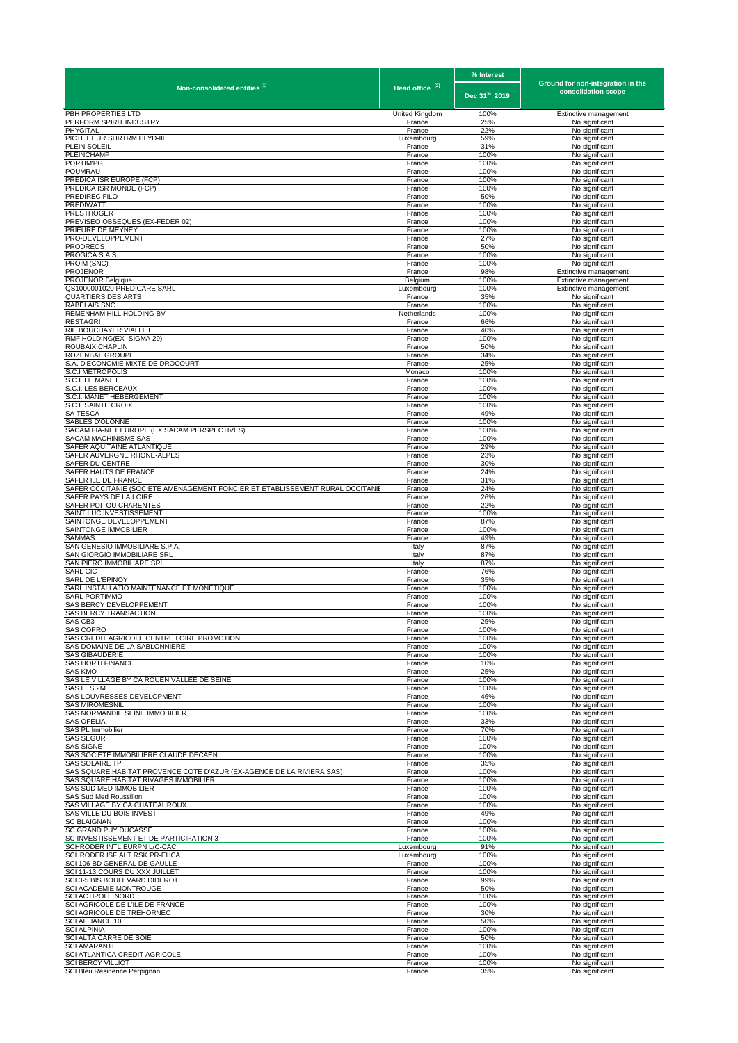| Non-consolidated entities <sup>(1)</sup>                                      |                            | % Interest                | Ground for non-integration in the |
|-------------------------------------------------------------------------------|----------------------------|---------------------------|-----------------------------------|
|                                                                               | Head office <sup>(2)</sup> | Dec 31 <sup>st</sup> 2019 | consolidation scope               |
| PBH PROPERTIES LTD                                                            | United Kingdom             | 100%                      | Extinctive management             |
| PERFORM SPIRIT INDUSTRY                                                       | France                     | 25%                       | No significant                    |
| PHYGITAL                                                                      | France                     | 22%                       | No significant                    |
| PICTET EUR SHRTRM HI YD-IIE                                                   | Luxembourg                 | 59%                       | No significant                    |
| PLEIN SOLEIL                                                                  | France                     | 31%                       | No significant                    |
| PLEINCHAMP                                                                    | France                     | 100%                      | No significant                    |
| PORTIM'PG                                                                     | France                     | 100%                      | No significant                    |
| POUMRAU                                                                       | France                     | 100%                      | No significant                    |
| PREDICA ISR EUROPE (FCP)                                                      | France                     | 100%                      | No significant                    |
| PREDICA ISR MONDE (FCP)                                                       | France                     | 100%                      | No significant                    |
| PREDIREC FILO                                                                 | France                     | 50%                       | No significant                    |
| PREDIWATT                                                                     | France                     | 100%                      | No significant                    |
| PRESTHOGER                                                                    | France                     | 100%                      | No significant                    |
| PREVISEO OBSEQUES (EX-FEDER 02)                                               | France                     | 100%                      | No significant                    |
| PRIEURE DE MEYNEY                                                             | France                     | 100%                      | No significant                    |
| PRO-DEVELOPPEMENT                                                             | France                     | 27%                       | No significant                    |
| PRODREOS                                                                      | France                     | 50%                       | No significant                    |
| PROGICA S.A.S.                                                                | France                     | 100%                      | No significant                    |
| PROIM (SNC)                                                                   | France                     | 100%                      | No significant                    |
| PROJENOR                                                                      | France                     | 98%                       | Extinctive management             |
| <b>PROJENOR Belgique</b>                                                      | Belgium                    | 100%                      | Extinctive management             |
| QS1000001020 PREDICARE SARL                                                   | Luxembourg                 | 100%                      | Extinctive management             |
| QUARTIERS DES ARTS                                                            | France                     | 35%                       | No significant                    |
| RABELAIS SNC                                                                  | France                     | 100%                      | No significant                    |
| REMENHAM HILL HOLDING BV                                                      | Netherlands                | 100%                      | No significant                    |
| RESTAGRI                                                                      | France                     | 66%                       | No significant                    |
| RIE BOUCHAYER VIALLET                                                         | France                     | 40%                       | No significant                    |
| RMF HOLDING(EX- SIGMA 29)                                                     | France                     | 100%                      | No significant                    |
| ROUBAIX CHAPLIN                                                               | France                     | 50%                       | No significant                    |
| ROZENBAL GROUPE                                                               | France                     | 34%                       | No significant                    |
| S.A. D'ECONOMIE MIXTE DE DROCOURT                                             | France                     | 25%                       | No significant                    |
| S.C.I METROPOLIS                                                              | Monaco                     | 100%                      | No significant                    |
| S.C.I. LE MANET                                                               | France                     | 100%                      | No significant                    |
| C.I. LES BERCEAUX                                                             | France                     | 100%                      | No significant                    |
| C.I. MANET HEBERGEMENT                                                        | France                     | 100%                      | No significant                    |
| S.C.I. SAINTE CROIX                                                           | France                     | 100%                      | No significant                    |
| SA TESCA                                                                      | France                     | 49%                       | No significant                    |
| SABLES D'OLONNE                                                               | France                     | 100%                      | No significant                    |
| SACAM FIA-NET EUROPE (EX SACAM PERSPECTIVES)                                  | France                     | 100%                      | No significant                    |
| SACAM MACHINISME SAS                                                          | France                     | 100%                      | No significant                    |
| SAFER AQUITAINE ATLANTIQUE                                                    | France                     | 29%                       | No significant                    |
| SAFER AUVERGNE RHONE-ALPES<br>SAFER DU CENTRE                                 | France<br>France           | 23%                       | No significant                    |
| SAFER HAUTS DE FRANCE                                                         | France                     | 30%<br>24%                | No significant<br>No significant  |
| SAFER ILE DE FRANCE                                                           | France                     | 31%                       | No significant                    |
| SAFER OCCITANIE (SOCIETE AMENAGEMENT FONCIER ET ETABLISSEMENT RURAL OCCITANIE | France                     | 24%                       | No significant                    |
| SAFER PAYS DE LA LOIRE                                                        | France                     | 26%                       | No significant                    |
| SAFER POITOU CHARENTES                                                        | France                     | 22%                       | No significant                    |
| SAINT LUC INVESTISSEMENT                                                      | France                     | 100%                      | No significant                    |
| SAINTONGE DEVELOPPEMENT                                                       | France                     | 87%                       | No significant                    |
| SAINTONGE IMMOBILIER                                                          | France                     | 100%                      | No significant                    |
| SAMMAS                                                                        | France                     | 49%                       | No significant                    |
| SAN GENESIO IMMOBILIARE S.P.A.                                                | Italy                      | 87%                       | No significant                    |
| SAN GIORGIO IMMOBILIARE SRL                                                   | Italy                      | 87%                       | No significant                    |
| SAN PIERO IMMOBILIARE SRL                                                     | Italy                      | 87%                       | No significant                    |
| SARL CIC                                                                      | France                     | 76%                       | No significant                    |
| SARL DE L'EPINOY                                                              | France                     | 35%                       | No significant                    |
| SARL INSTALLATIO MAINTENANCE ET MONETIQUE                                     | France                     | 100%                      | No significant                    |
| SARL PORTIMMO                                                                 | France                     | 100%                      | No significant                    |
| SAS BERCY DEVELOPPEMENT                                                       | France                     | 100%                      | No significant                    |
| <b>SAS BERCY TRANSACTION</b>                                                  | France                     | 100%                      | No significant                    |
| SAS CB3                                                                       | France                     | 25%                       | No significant                    |
| SAS COPRO                                                                     | France                     | 100%                      | No significant                    |
| SAS CREDIT AGRICOLE CENTRE LOIRE PROMOTION                                    | France                     | 100%                      | No significant                    |
| SAS DOMAINE DE LA SABLONNIERE                                                 | France                     | 100%                      | No significant                    |
| SAS GIBAUDERIE                                                                | France                     | 100%                      | No significant                    |
| <b>SAS HORTI FINANCE</b>                                                      | France                     | 10%                       | No significant                    |
| SAS KMO                                                                       | France                     | 25%                       | No significant                    |
| SAS LE VILLAGE BY CA ROUEN VALLEE DE SEINE                                    | France                     | 100%                      | No significant                    |
| SAS LES 2M                                                                    | France                     | 100%                      | No significant                    |
| SAS LOUVRESSES DEVELOPMENT                                                    | France                     | 46%                       | No significant                    |
| <b>SAS MIROMESNIL</b>                                                         | France                     | 100%                      | No significant                    |
| SAS NORMANDIE SEINE IMMOBILIER                                                | France                     | 100%                      | No significant                    |
| <b>SAS OFELIA</b>                                                             | France                     | 33%                       | No significant                    |
| SAS PL Immobilier                                                             | France                     | 70%                       | No significant                    |
| SAS SEGUR                                                                     | France                     | 100%                      | No significant                    |
| SAS SIGNE                                                                     | France                     | 100%                      | No significant                    |
| SAS SOCIÉTÉ IMMOBILIÈRE CLAUDE DECAEN                                         | France                     | 100%                      | No significant                    |
| SAS SOLAIRE TP                                                                | France                     | 35%                       | No significant                    |
| SAS SQUARE HABITAT PROVENCE COTE D'AZUR (EX-AGENCE DE LA RIVIERA SAS)         | France                     | 100%                      | No significant                    |
| SAS SQUARE HABITAT RIVAGES IMMOBILIER                                         | France                     | 100%                      | No significant                    |
| SAS SUD MED IMMOBILIER                                                        | France                     | 100%                      | No significant                    |
| SAS Sud Med Roussillon                                                        | France                     | 100%                      | No significant                    |
| SAS VILLAGE BY CA CHATEAUROUX                                                 | France                     | 100%                      | No significant                    |
| SAS VILLE DU BOIS INVEST                                                      | France                     | 49%                       | No significant                    |
| SC BLAIGNAN<br>SC GRAND PUY DUCASSE                                           | France                     | 100%<br>100%              | No significant                    |
| SC INVESTISSEMENT ET DE PARTICIPATION 3                                       | France<br>France           | 100%                      | No significant<br>No significant  |
| SCHRODER INTL EURPN L/C-CAC                                                   | Luxembourg                 | 91%                       | No significant                    |
| SCHRODER ISF ALT RSK PR-EHCA                                                  | Luxembourg                 | 100%                      | No significant                    |
| SCI 106 BD GENERAL DE GAULLE                                                  | France                     | 100%                      | No significant                    |
| SCI 11-13 COURS DU XXX JUILLET                                                | France                     | 100%                      | No significant                    |
| SCI 3-5 BIS BOULEVARD DIDEROT                                                 | France                     | 99%                       | No significant                    |
| <b>SCI ACADEMIE MONTROUGE</b>                                                 | France                     | 50%                       | No significant                    |
| SCI ACTIPOLE NORD                                                             | France                     | 100%                      | No significant                    |
| SCI AGRICOLE DE L'ILE DE FRANCE                                               | France                     | 100%                      | No significant                    |
| SCI AGRICOLE DE TREHORNEC                                                     | France                     | 30%                       | No significant                    |
| SCI ALLIANCE 10                                                               | France                     | 50%                       | No significant                    |
| SCI ALPINIA                                                                   | France                     | 100%                      | No significant                    |
| SCI ALTA CARRE DE SOIE<br><b>SCI AMARANTE</b>                                 | France                     | 50%                       | No significant                    |
| SCI ATLANTICA CREDIT AGRICOLE                                                 | France                     | 100%                      | No significant                    |
|                                                                               | France                     | 100%                      | No significant                    |
| <b>SCI BERCY VILLIOT</b>                                                      | France                     | 100%                      | No significant                    |
| SCI Bleu Résidence Perpignan                                                  | France                     | 35%                       | No significant                    |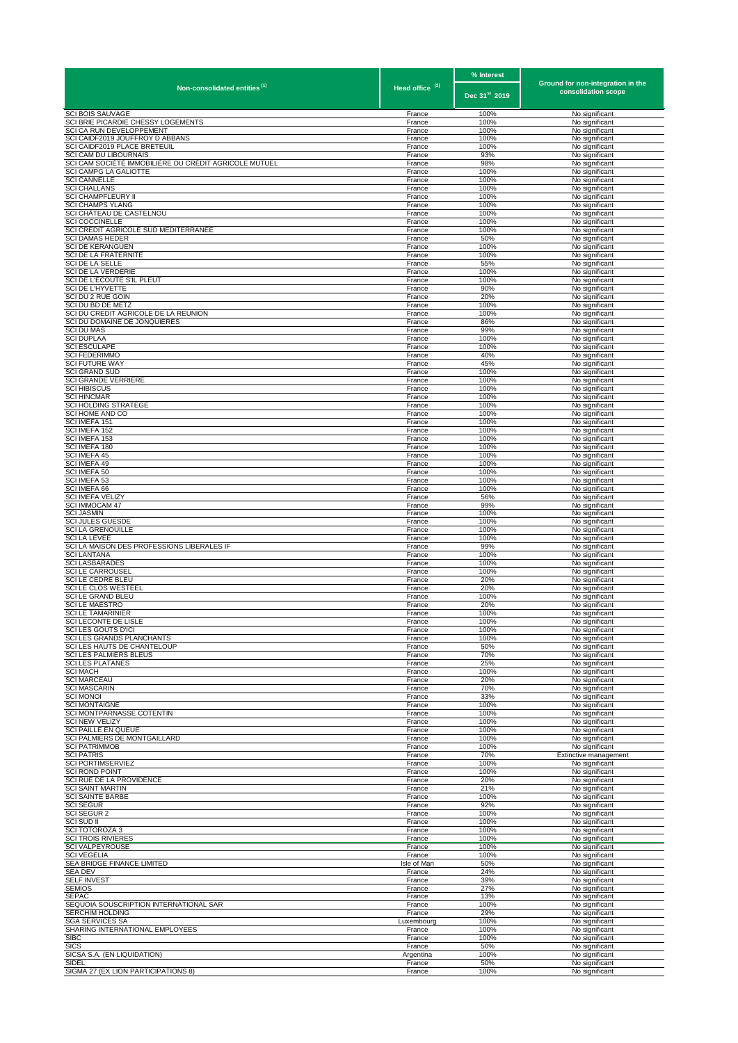|                                                                                |                            | % Interest                | Ground for non-integration in the |
|--------------------------------------------------------------------------------|----------------------------|---------------------------|-----------------------------------|
| Non-consolidated entities <sup>(1)</sup>                                       | Head office <sup>(2)</sup> | Dec 31 <sup>st</sup> 2019 | consolidation scope               |
| <b>SCI BOIS SAUVAGE</b>                                                        | France                     | 100%                      | No significant                    |
| SCI BRIE PICARDIE CHESSY LOGEMENTS<br>SCI CA RUN DEVELOPPEMENT                 | France<br>France           | 100%<br>100%              | No significant<br>No significant  |
| SCI CAIDF2019 JOUFFROY D ABBANS                                                | France                     | 100%                      | No significant                    |
| SCI CAIDF2019 PLACE BRETEUIL                                                   | France                     | 100%                      | No significant                    |
| SCI CAM DU LIBOURNAIS<br>SCI CAM SOCIÉTÉ IMMOBILIÈRE DU CRÉDIT AGRICOLE MUTUEL | France<br>France           | 93%<br>98%                | No significant<br>No significant  |
| SCI CAMPG LA GALIOTTE                                                          | France                     | 100%                      | No significant                    |
| <b>SCI CANNELLE</b><br><b>SCI CHALLANS</b>                                     | France<br>France           | 100%<br>100%              | No significant<br>No significant  |
| SCI CHAMPFLEURY II                                                             | France                     | 100%                      | No significant                    |
| <b>SCI CHAMPS YLANG</b>                                                        | France                     | 100%                      | No significant                    |
| SCI CHÂTEAU DE CASTELNOU<br><b>SCI COCCINELLE</b>                              | France<br>France           | 100%<br>100%              | No significant<br>No significant  |
| SCI CREDIT AGRICOLE SUD MEDITERRANEE                                           | France                     | 100%                      | No significant                    |
| SCI DAMAS HEDER<br>SCI DE KERANGUEN                                            | France<br>France           | 50%<br>100%               | No significant<br>No significant  |
| SCI DE LA FRATERNITE                                                           | France                     | 100%                      | No significant                    |
| SCI DE LA SELLE                                                                | France                     | 55%                       | No significant                    |
| SCI DE LA VERDERIE<br>SCI DE L'ECOUTE S'IL PLEUT                               | France<br>France           | 100%<br>100%              | No significant<br>No significant  |
| <b>SCI DE L'HYVETTE</b>                                                        | France                     | 90%                       | No significant                    |
| SCI DU 2 RUE GOIN                                                              | France                     | 20%                       | No significant                    |
| SCI DU BD DE METZ<br>SCI DU CREDIT AGRICOLE DE LA REUNION                      | France<br>France           | 100%<br>100%              | No significant<br>No significant  |
| SCI DU DOMAINE DE JONQUIERES                                                   | France                     | 86%                       | No significant                    |
| SCI DU MAS                                                                     | France                     | 99%                       | No significant                    |
| <b>SCI DUPLAA</b><br><b>SCI ESCULAPE</b>                                       | France<br>France           | 100%<br>100%              | No significant<br>No significant  |
| <b>SCI FEDERIMMO</b>                                                           | France                     | 40%                       | No significant                    |
| <b>SCI FUTURE WAY</b>                                                          | France                     | 45%                       | No significant                    |
| <b>SCI GRAND SUD</b><br>SCI GRANDE VERRIERE                                    | France<br>France           | 100%<br>100%              | No significant<br>No significant  |
| SCI HIBISCUS                                                                   | France                     | 100%                      | No significant                    |
| <b>SCI HINCMAR</b><br><b>SCI HOLDING STRATEGE</b>                              | France<br>France           | 100%<br>100%              | No significant<br>No significant  |
| SCI HOME AND CO                                                                | France                     | 100%                      | No significant                    |
| SCI IMEFA 151                                                                  | France                     | 100%                      | No significant                    |
| SCI IMEFA 152<br>SCI IMEFA 153                                                 | France<br>France           | 100%<br>100%              | No significant<br>No significant  |
| SCI IMEFA 180                                                                  | France                     | 100%                      | No significant                    |
| SCI IMEFA 45                                                                   | France                     | 100%                      | No significant                    |
| SCI IMEFA 49                                                                   | France                     | 100%                      | No significant                    |
| SCI IMEFA 50<br>SCI IMEFA 53                                                   | France<br>France           | 100%<br>100%              | No significant<br>No significant  |
| SCI IMEFA 66                                                                   | France                     | 100%                      | No significant                    |
| SCI IMEFA VELIZY<br>SCI IMMOCAM 47                                             | France                     | 56%                       | No significant                    |
| SCI JASMIN                                                                     | France<br>France           | 99%<br>100%               | No significant<br>No significant  |
| SCI JULES GUESDE                                                               | France                     | 100%                      | No significant                    |
| SCI LA GRENOUILLE<br>SCI LA LEVEE                                              | France<br>France           | 100%<br>100%              | No significant<br>No significant  |
| SCI LA MAISON DES PROFESSIONS LIBERALES IF                                     | France                     | 99%                       | No significant                    |
| SCI LANTANA<br><b>SCI LASBARADES</b>                                           | France<br>France           | 100%<br>100%              | No significant<br>No significant  |
| SCI LE CARROUSEL                                                               | France                     | 100%                      | No significant                    |
| SCI LE CEDRE BLEU                                                              | France                     | 20%                       | No significant                    |
| SCI LE CLOS WESTEEL<br>SCI LE GRAND BLEU                                       | France<br>France           | 20%<br>100%               | No significant<br>No significant  |
| <b>SCI LE MAESTRO</b>                                                          | France                     | 20%                       | No significant                    |
| <b>SCI LE TAMARINIER</b><br>SCI LECONTE DE LISLE                               | France<br>France           | 100%<br>100%              | No significant<br>No significant  |
| SCI LES GOUTS D'ICI                                                            | France                     | 100%                      | No significant                    |
| SCI LES GRANDS PLANCHANTS                                                      | France                     | 100%                      | No significant                    |
| SCI LES HAUTS DE CHANTELOUP<br><b>SCILES PALMIERS BLEUS</b>                    | France<br>France           | 50%<br>70%                | No significant<br>No significant  |
| <b>SCI LES PLATANES</b>                                                        | France                     | 25%                       | No significant                    |
| <b>SCI MACH</b>                                                                | France                     | 100%                      | No significant                    |
| <b>SCI MARCEAU</b><br>SCI MASCARIN                                             | France<br>France           | 20%<br>70%                | No significant<br>No significant  |
| <b>SCI MONOI</b>                                                               | France                     | 33%                       | No significant                    |
| <b>SCI MONTAIGNE</b>                                                           | France                     | 100%                      | No significant                    |
| SCI MONTPARNASSE COTENTIN<br>SCI NEW VELIZY                                    | France<br>France           | 100%<br>100%              | No significant<br>No significant  |
| SCI PAILLE EN QUEUE                                                            | France                     | 100%                      | No significant                    |
| SCI PALMIERS DE MONTGAILLARD<br>SCI PATRIMMOB                                  | France<br>France           | 100%<br>100%              | No significant<br>No significant  |
| <b>SCI PATRIS</b>                                                              | France                     | 70%                       | Extinctive management             |
| <b>SCI PORTIMSERVIEZ</b>                                                       | France                     | 100%                      | No significant                    |
| <b>SCI ROND POINT</b><br>SCI RUE DE LA PROVIDENCE                              | France<br>France           | 100%<br>20%               | No significant<br>No significant  |
| <b>SCI SAINT MARTIN</b>                                                        | France                     | 21%                       | No significant                    |
| SCI SAINTE BARBE                                                               | France                     | 100%                      | No significant                    |
| SCI SEGUR<br><b>SCI SEGUR 2</b>                                                | France<br>France           | 92%<br>100%               | No significant<br>No significant  |
| SCI SUD II                                                                     | France                     | 100%                      | No significant                    |
| SCI TOTOROZA 3                                                                 | France                     | 100%                      | No significant                    |
| SCI TROIS RIVIERES<br>SCI VALPEYROUSE                                          | France<br>France           | 100%<br>100%              | No significant<br>No significant  |
| <b>SCI VEGELIA</b>                                                             | France                     | 100%                      | No significant                    |
| SEA BRIDGE FINANCE LIMITED                                                     | Isle of Man                | 50%                       | No significant                    |
| <b>SEA DEV</b><br><b>SELF INVEST</b>                                           | France<br>France           | 24%<br>39%                | No significant<br>No significant  |
| SEMIOS                                                                         | France                     | 27%                       | No significant                    |
| SEPAC                                                                          | France                     | 13%                       | No significant                    |
| SEQUOIA SOUSCRIPTION INTERNATIONAL SAR<br>SERCHIM HOLDING                      | France<br>France           | 100%<br>29%               | No significant<br>No significant  |
| <b>SGA SERVICES SA</b>                                                         | Luxembourg                 | 100%                      | No significant                    |
| SHARING INTERNATIONAL EMPLOYEES<br>SIBC                                        | France                     | 100%<br>100%              | No significant                    |
| SICS                                                                           | France<br>France           | 50%                       | No significant<br>No significant  |
| SICSA S.A. (EN LIQUIDATION)                                                    | Argentina                  | 100%                      | No significant                    |
| Sidel<br>SIGMA 27 (EX LION PARTICIPATIONS 8)                                   | France<br>France           | 50%<br>100%               | No significant<br>No significant  |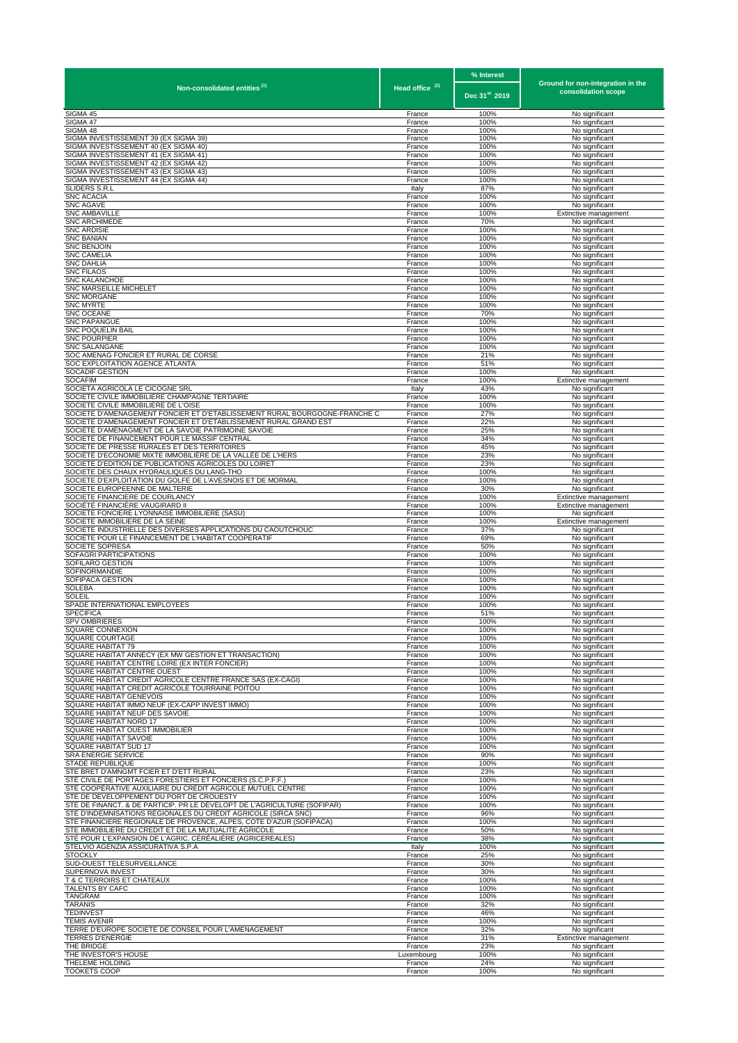|                                                                                                                                       |                            | % Interest                | Ground for non-integration in the       |
|---------------------------------------------------------------------------------------------------------------------------------------|----------------------------|---------------------------|-----------------------------------------|
| Non-consolidated entities <sup>(1)</sup>                                                                                              | Head office <sup>(2)</sup> | Dec 31 <sup>st</sup> 2019 | consolidation scope                     |
| SIGMA 45                                                                                                                              | France                     | 100%                      | No significant                          |
| SIGMA 47<br>SIGMA 48                                                                                                                  | France<br>France           | 100%<br>100%              | No significant                          |
| SIGMA INVESTISSEMENT 39 (EX SIGMA 39)                                                                                                 | France                     | 100%                      | No significant<br>No significant        |
| SIGMA INVESTISSEMENT 40 (EX SIGMA 40)                                                                                                 | France                     | 100%                      | No significant                          |
| SIGMA INVESTISSEMENT 41 (EX SIGMA 41)<br>SIGMA INVESTISSEMENT 42 (EX SIGMA 42)                                                        | France<br>France           | 100%<br>100%              | No significant<br>No significant        |
| SIGMA INVESTISSEMENT 43 (EX SIGMA 43)                                                                                                 | France                     | 100%                      | No significant                          |
| SIGMA INVESTISSEMENT 44 (EX SIGMA 44)                                                                                                 | France                     | 100%                      | No significant                          |
| SLIDERS S.R.L<br><b>SNC ACACIA</b>                                                                                                    | Italy<br>France            | 87%<br>100%               | No significant<br>No significant        |
| <b>SNC AGAVE</b>                                                                                                                      | France                     | 100%                      | No significant                          |
| <b>SNC AMBAVILLE</b><br><b>SNC ARCHIMEDE</b>                                                                                          | France<br>France           | 100%<br>70%               | Extinctive management<br>No significant |
| <b>SNC ARDISIE</b>                                                                                                                    | France                     | 100%                      | No significant                          |
| <b>SNC BANIAN</b>                                                                                                                     | France                     | 100%                      | No significant                          |
| SNC BENJOIN<br><b>SNC CAMELIA</b>                                                                                                     | France<br>France           | 100%<br>100%              | No significant<br>No significant        |
| <b>SNC DAHLIA</b>                                                                                                                     | France                     | 100%                      | No significant                          |
| <b>SNC FILAOS</b><br>SNC KALANCHOE                                                                                                    | France<br>France           | 100%<br>100%              | No significant<br>No significant        |
| <b>SNC MARSEILLE MICHELET</b>                                                                                                         | France                     | 100%                      | No significant                          |
| <b>SNC MORGANE</b>                                                                                                                    | France                     | 100%                      | No significant                          |
| SNC MYRTE<br>SNC OCEANE                                                                                                               | France<br>France           | 100%<br>70%               | No significant<br>No significant        |
| <b>SNC PAPANGUE</b>                                                                                                                   | France                     | 100%                      | No significant                          |
| SNC POQUELIN BAIL<br><b>SNC POURPIER</b>                                                                                              | France<br>France           | 100%<br>100%              | No significant                          |
| <b>SNC SALANGANE</b>                                                                                                                  | France                     | 100%                      | No significant<br>No significant        |
| SOC AMENAG FONCIER ET RURAL DE CORSE                                                                                                  | France                     | 21%                       | No significant                          |
| SOC EXPLOITATION AGENCE ATLANTA<br>SOCADIF GESTION                                                                                    | France<br>France           | 51%<br>100%               | No significant<br>No significant        |
| <b>SOCAFIM</b>                                                                                                                        | France                     | 100%                      | Extinctive management                   |
| SOCIETA AGRICOLA LE CICOGNE SRI                                                                                                       | Italy                      | 43%                       | No significant                          |
| SOCIETE CIVILE IMMOBILIERE CHAMPAGNE TERTIAIRE<br>SOCIETE CIVILE IMMOBILIERE DE L'OISE                                                | France<br>France           | 100%<br>100%              | No significant<br>No significant        |
| SOCIETE D'AMENAGEMENT FONCIER ET D'ETABLISSEMENT RURAL BOURGOGNE-FRANCHE C                                                            | France                     | 27%                       | No significant                          |
| SOCIETE D'AMENAGEMENT FONCIER ET D'ETABLISSEMENT RURAL GRAND EST<br>SOCIÉTÉ D'AMÉNAGMENT DE LA SAVOIE PATRIMOINE SAVOIE               | France<br>France           | 22%<br>25%                | No significant<br>No significant        |
| SOCIETE DE FINANCEMENT POUR LE MASSIF CENTRAL                                                                                         | France                     | 34%                       | No significant                          |
| SOCIETE DE PRESSE RURALES ET DES TERRITOIRES                                                                                          | France                     | 45%                       | No significant                          |
| SOCIÉTÉ D'ECONOMIE MIXTE IMMOBILIÈRE DE LA VALLÉE DE L'HERS<br>SOCIETE D'EDITION DE PUBLICATIONS AGRICOLES DU LOIRET                  | France<br>France           | 23%<br>23%                | No significant<br>No significant        |
| SOCIETE DES CHAUX HYDRAULIQUES DU LANG-THO                                                                                            | France                     | 100%                      | No significant                          |
| SOCIETE D'EXPLOITATION DU GOLFE DE L'AVESNOIS ET DE MORMAL                                                                            | France                     | 100%                      | No significant                          |
| SOCIETE EUROPEENNE DE MALTERIE<br>SOCIETE FINANCIERE DE COURLANCY                                                                     | France<br>France           | 30%<br>100%               | No significant<br>Extinctive management |
| SOCIÉTÉ FINANCIÈRE VAUGIRARD II                                                                                                       | France                     | 100%                      | Extinctive management                   |
| SOCIETE FONCIERE LYONNAISE IMMOBILIERE (SASU)<br>SOCIETE IMMOBILIERE DE LA SEINE                                                      | France<br>France           | 100%<br>100%              | No significant<br>Extinctive management |
| SOCIETE INDUSTRIELLE DES DIVERSES APPLICATIONS DU CAOUTCHOUC                                                                          | France                     | 37%                       | No significant                          |
| SOCIETE POUR LE FINANCEMENT DE L'HABITAT COOPERATIF                                                                                   | France                     | 69%                       | No significant                          |
| SOCIETE SOPRESA<br>SOFAGRI PARTICIPATIONS                                                                                             | France<br>France           | 50%<br>100%               | No significant<br>No significant        |
| SOFILARO GESTION                                                                                                                      | France                     | 100%                      | No significant                          |
| SOFINORMANDIE<br>SOFIPACA GESTION                                                                                                     | France<br>France           | 100%<br>100%              | No significant<br>No significant        |
| SOLEBA                                                                                                                                | France                     | 100%                      | No significant                          |
| Soleil                                                                                                                                | France                     | 100%                      | No significant                          |
| SPADE INTERNATIONAL EMPLOYEES<br>SPECIFICA                                                                                            | France<br>France           | 100%<br>51%               | No significant<br>No significant        |
| <b>SPV OMBRIERES</b>                                                                                                                  | France                     | 100%                      | No significant                          |
| SQUARE CONNEXION<br>SQUARE COURTAGE                                                                                                   | France                     | 100%<br>100%              | No significant<br>No significant        |
| SQUARE HABITAT 79                                                                                                                     | France<br>France           | 100%                      | No significant                          |
| SQUARE HABITAT ANNECY (EX MW GESTION ET TRANSACTION)                                                                                  | France                     | 100%                      | No significant                          |
| SQUARE HABITAT CENTRE LOIRE (EX INTER FONCIER)<br>SQUARE HABITAT CENTRE OUEST                                                         | France<br>France           | 100%<br>100%              | No significant<br>No significant        |
| SQUARE HABITAT CREDIT AGRICOLE CENTRE FRANCE SAS (EX-CAGI)                                                                            | France                     | 100%                      | No significant                          |
| SQUARE HABITAT CREDIT AGRICOLE TOURRAINE POITOU                                                                                       | France                     | 100%                      | No significant                          |
| SQUARE HABITAT GENEVOIS<br>SQUARE HABITAT IMMO NEUF (EX-CAPP INVEST IMMO)                                                             | France<br>France           | 100%<br>100%              | No significant<br>No significant        |
| SQUARE HABITAT NEUF DES SAVOIE                                                                                                        | France                     | 100%                      | No significant                          |
| SQUARE HABITAT NORD 17<br><b>SQUARE HABITAT OUEST IMMOBILIER</b>                                                                      | France<br>France           | 100%<br>100%              | No significant<br>No significant        |
| SQUARE HABITAT SAVOIE                                                                                                                 | France                     | 100%                      | No significant                          |
| SQUARE HABITAT SUD 17                                                                                                                 | France                     | 100%                      | No significant                          |
| SRA ENERGIE SERVICE<br>STADE REPUBLIQUE                                                                                               | France<br>France           | 90%<br>100%               | No significant<br>No significant        |
| STE BRET D'AMNGMT FCIER ET D'ETT RURAL                                                                                                | France                     | 23%                       | No significant                          |
| STÉ CIVILE DE PORTAGES FORESTIERS ET FONCIERS (S.C.P.F.F.)<br>STÉ COOPÉRATIVE AUXILIAIRE DU CRÉDIT AGRICOLE MUTUEL CENTRE             | France<br>France           | 100%<br>100%              | No significant<br>No significant        |
| STE DE DEVELOPPEMENT DU PORT DE CROUESTY                                                                                              | France                     | 100%                      | No significant                          |
| STÉ DE FINANCT. & DE PARTICIP. PR LE DÉVELOPT DE L'AGRICULTURE (SOFIPAR)                                                              | France                     | 100%                      | No significant                          |
| STÉ D'INDEMNISATIONS RÉGIONALES DU CRÉDIT AGRICOLE (SIRCA SNC)<br>STE FINANCIERE REGIONALE DE PROVENCE, ALPES, COTE D'AZUR (SOFIPACA) | France<br>France           | 96%<br>100%               | No significant<br>No significant        |
| STE IMMOBILIERE DU CREDIT ET DE LA MUTUALITE AGRICOLE                                                                                 | France                     | 50%                       | No significant                          |
| STÉ POUR L'EXPANSION DE L'AGRIC. CÉRÉALIÈRE (AGRICEREALES)<br>STELVIO AGENZIA ASSICURATIVA S.P.A                                      | France<br>Italy            | 38%<br>100%               | No significant<br>No significant        |
| <b>STOCKLY</b>                                                                                                                        | France                     | 25%                       | No significant                          |
| SUD-OUEST TELESURVEILLANCE                                                                                                            | France                     | 30%                       | No significant                          |
| SUPERNOVA INVEST<br>T & C TERROIRS ET CHATEAUX                                                                                        | France<br>France           | 30%<br>100%               | No significant<br>No significant        |
| TALENTS BY CAFC                                                                                                                       | France                     | 100%                      | No significant                          |
| TANGRAM<br>TARANIS                                                                                                                    | France                     | 100%<br>32%               | No significant                          |
| <b>TEDINVEST</b>                                                                                                                      | France<br>France           | 46%                       | No significant<br>No significant        |
| <b>TEMIS AVENIR</b>                                                                                                                   | France                     | 100%                      | No significant                          |
| TERRE D'EUROPE SOCIETE DE CONSEIL POUR L'AMENAGEMENT<br><b>TERRES D'ENERGIE</b>                                                       | France<br>France           | 32%<br>31%                | No significant<br>Extinctive management |
| THE BRIDGE                                                                                                                            | France                     | 23%                       | No significant                          |
| THE INVESTOR'S HOUSE                                                                                                                  | Luxembourg                 | 100%                      | No significant                          |
| THELEME HOLDING<br>TOOKETS COOP                                                                                                       | France<br>France           | 24%<br>100%               | No significant<br>No significant        |